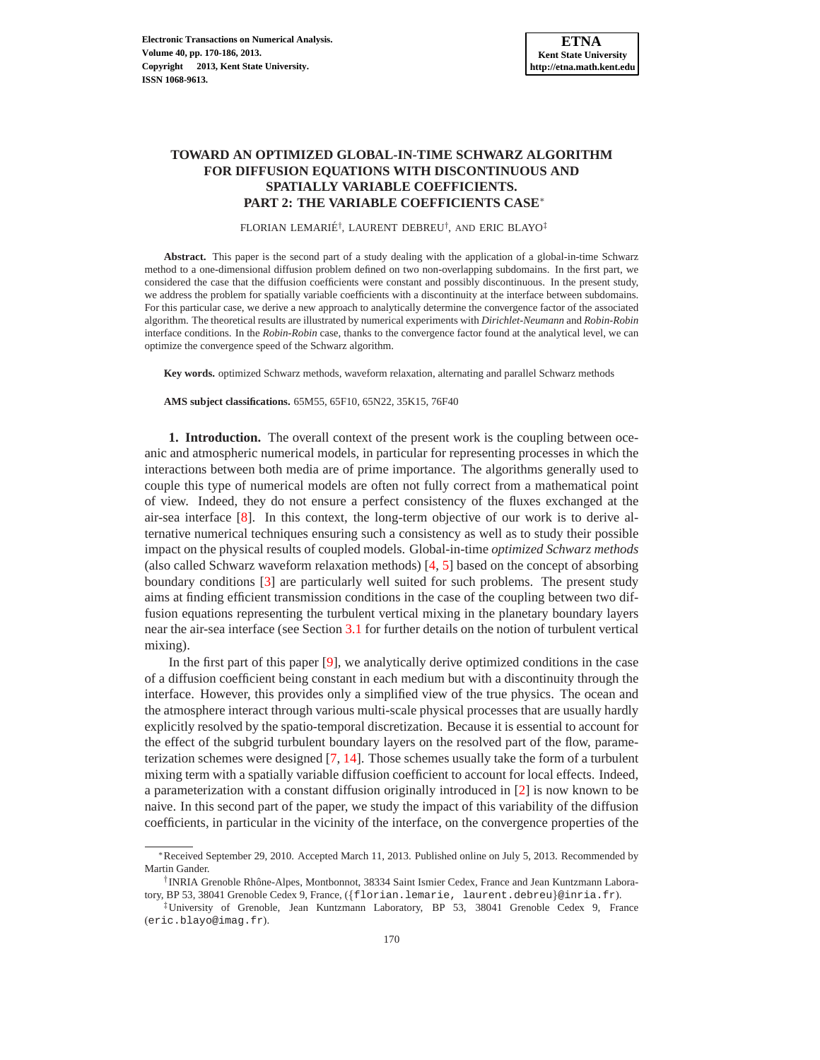# **TOWARD AN OPTIMIZED GLOBAL-IN-TIME SCHWARZ ALGORITHM FOR DIFFUSION EQUATIONS WITH DISCONTINUOUS AND SPATIALLY VARIABLE COEFFICIENTS. PART 2: THE VARIABLE COEFFICIENTS CASE**<sup>∗</sup>

FLORIAN LEMARIÉ<sup>†</sup>, LAURENT DEBREU<sup>†</sup>, AND ERIC BLAYO<sup>‡</sup>

**Abstract.** This paper is the second part of a study dealing with the application of a global-in-time Schwarz method to a one-dimensional diffusion problem defined on two non-overlapping subdomains. In the first part, we considered the case that the diffusion coefficients were constant and possibly discontinuous. In the present study, we address the problem for spatially variable coefficients with a discontinuity at the interface between subdomains. For this particular case, we derive a new approach to analytically determine the convergence factor of the associated algorithm. The theoretical results are illustrated by numerical experiments with *Dirichlet-Neumann* and *Robin-Robin* interface conditions. In the *Robin-Robin* case, thanks to the convergence factor found at the analytical level, we can optimize the convergence speed of the Schwarz algorithm.

**Key words.** optimized Schwarz methods, waveform relaxation, alternating and parallel Schwarz methods

**AMS subject classifications.** 65M55, 65F10, 65N22, 35K15, 76F40

**1. Introduction.** The overall context of the present work is the coupling between oceanic and atmospheric numerical models, in particular for representing processes in which the interactions between both media are of prime importance. The algorithms generally used to couple this type of numerical models are often not fully correct from a mathematical point of view. Indeed, they do not ensure a perfect consistency of the fluxes exchanged at the air-sea interface [\[8\]](#page-16-0). In this context, the long-term objective of our work is to derive alternative numerical techniques ensuring such a consistency as well as to study their possible impact on the physical results of coupled models. Global-in-time *optimized Schwarz methods* (also called Schwarz waveform relaxation methods) [\[4,](#page-15-0) [5\]](#page-15-1) based on the concept of absorbing boundary conditions [\[3\]](#page-15-2) are particularly well suited for such problems. The present study aims at finding efficient transmission conditions in the case of the coupling between two diffusion equations representing the turbulent vertical mixing in the planetary boundary layers near the air-sea interface (see Section [3.1](#page-9-0) for further details on the notion of turbulent vertical mixing).

In the first part of this paper [\[9\]](#page-16-1), we analytically derive optimized conditions in the case of a diffusion coefficient being constant in each medium but with a discontinuity through the interface. However, this provides only a simplified view of the true physics. The ocean and the atmosphere interact through various multi-scale physical processes that are usually hardly explicitly resolved by the spatio-temporal discretization. Because it is essential to account for the effect of the subgrid turbulent boundary layers on the resolved part of the flow, parameterization schemes were designed [\[7,](#page-15-3) [14\]](#page-16-2). Those schemes usually take the form of a turbulent mixing term with a spatially variable diffusion coefficient to account for local effects. Indeed, a parameterization with a constant diffusion originally introduced in [\[2\]](#page-15-4) is now known to be naive. In this second part of the paper, we study the impact of this variability of the diffusion coefficients, in particular in the vicinity of the interface, on the convergence properties of the

<sup>∗</sup>Received September 29, 2010. Accepted March 11, 2013. Published online on July 5, 2013. Recommended by Martin Gander.

<sup>&</sup>lt;sup>†</sup> INRIA Grenoble Rhône-Alpes, Montbonnot, 38334 Saint Ismier Cedex, France and Jean Kuntzmann Laboratory, BP 53, 38041 Grenoble Cedex 9, France, ({florian.lemarie, laurent.debreu}@inria.fr).

<sup>‡</sup>University of Grenoble, Jean Kuntzmann Laboratory, BP 53, 38041 Grenoble Cedex 9, France (eric.blayo@imag.fr).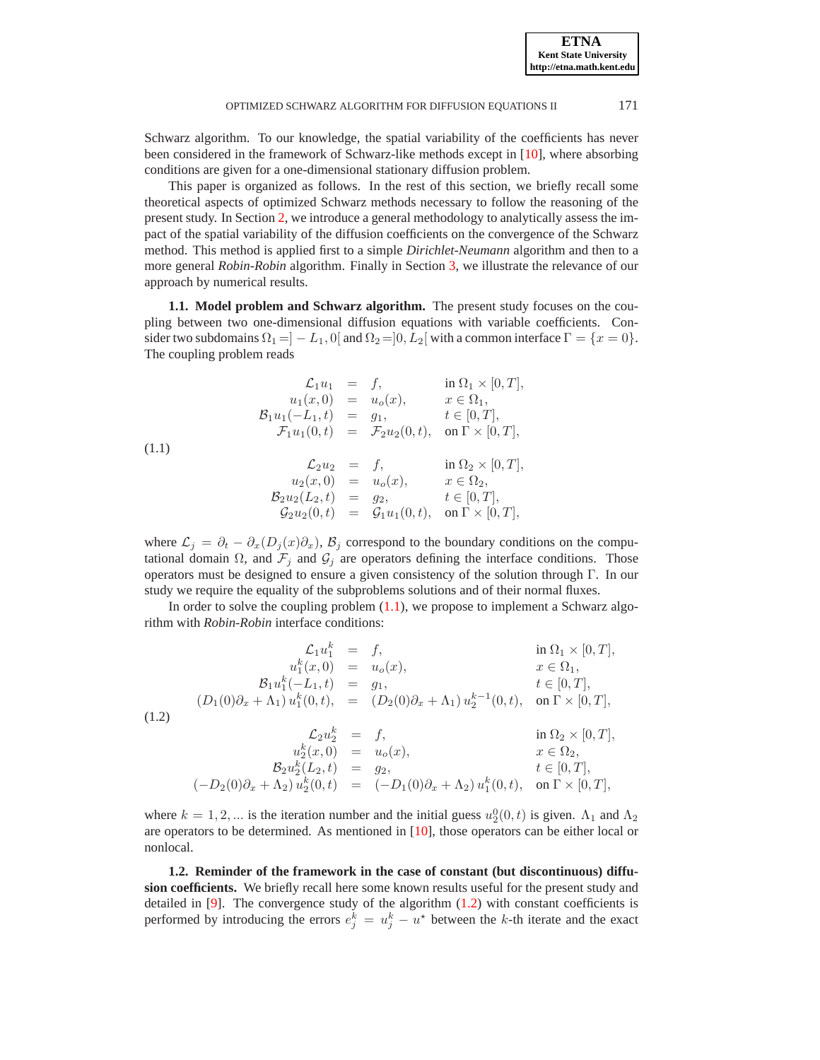Schwarz algorithm. To our knowledge, the spatial variability of the coefficients has never been considered in the framework of Schwarz-like methods except in [\[10\]](#page-16-3), where absorbing conditions are given for a one-dimensional stationary diffusion problem.

This paper is organized as follows. In the rest of this section, we briefly recall some theoretical aspects of optimized Schwarz methods necessary to follow the reasoning of the present study. In Section [2,](#page-3-0) we introduce a general methodology to analytically assess the impact of the spatial variability of the diffusion coefficients on the convergence of the Schwarz method. This method is applied first to a simple *Dirichlet-Neumann* algorithm and then to a more general *Robin-Robin* algorithm. Finally in Section [3,](#page-9-1) we illustrate the relevance of our approach by numerical results.

<span id="page-1-2"></span>**1.1. Model problem and Schwarz algorithm.** The present study focuses on the coupling between two one-dimensional diffusion equations with variable coefficients. Consider two subdomains  $\Omega_1 = \vert -L_1, 0 \vert$  and  $\Omega_2 = \vert 0, L_2 \vert$  with a common interface  $\Gamma = \{x = 0\}.$ The coupling problem reads

<span id="page-1-0"></span>(1.1)  
\n
$$
\begin{array}{rcl}\n\mathcal{L}_1 u_1 &=& f, & \text{in } \Omega_1 \times [0, T], \\
u_1(x, 0) &=& u_o(x), & x \in \Omega_1, \\
\mathcal{B}_1 u_1(-L_1, t) &=& g_1, & t \in [0, T], \\
\mathcal{F}_1 u_1(0, t) &=& \mathcal{F}_2 u_2(0, t), & \text{on } \Gamma \times [0, T], \\
(u_2(u_2) &=& f, & \text{in } \Omega_2 \times [0, T], \\
u_2(x, 0) &=& u_o(x), & x \in \Omega_2, \\
\mathcal{B}_2 u_2(L_2, t) &=& g_2, & t \in [0, T], \\
\mathcal{G}_2 u_2(0, t) &=& \mathcal{G}_1 u_1(0, t), & \text{on } \Gamma \times [0, T],\n\end{array}
$$

where  $\mathcal{L}_j = \partial_t - \partial_x (D_j(x)\partial_x)$ ,  $\mathcal{B}_j$  correspond to the boundary conditions on the computational domain  $\Omega$ , and  $\mathcal{F}_j$  and  $\mathcal{G}_j$  are operators defining the interface conditions. Those operators must be designed to ensure a given consistency of the solution through Γ. In our study we require the equality of the subproblems solutions and of their normal fluxes.

<span id="page-1-1"></span>In order to solve the coupling problem [\(1.1\)](#page-1-0), we propose to implement a Schwarz algorithm with *Robin-Robin* interface conditions:

(1.2)  
\n
$$
\begin{aligned}\n\mathcal{L}_1 u_1^k &= f, & \text{in } \Omega_1 \times [0, T], \\
u_1^k(x, 0) &= u_o(x), & x \in \Omega_1, \\
\mathcal{B}_1 u_1^k(-L_1, t) &= g_1, & t \in [0, T], \\
(D_1(0)\partial_x + \Lambda_1) u_1^k(0, t) &= (D_2(0)\partial_x + \Lambda_1) u_2^{k-1}(0, t), & \text{on } \Gamma \times [0, T], \\
\mathcal{L}_2 u_2^k &= f, & \text{in } \Omega_2 \times [0, T], \\
u_2^k(x, 0) &= u_o(x), & x \in \Omega_2, \\
\mathcal{B}_2 u_2^k(L_2, t) &= g_2, & t \in [0, T], \\
(-D_2(0)\partial_x + \Lambda_2) u_2^k(0, t) &= (-D_1(0)\partial_x + \Lambda_2) u_1^k(0, t), & \text{on } \Gamma \times [0, T],\n\end{aligned}
$$

where  $k = 1, 2, ...$  is the iteration number and the initial guess  $u_2^0(0, t)$  is given.  $\Lambda_1$  and  $\Lambda_2$ are operators to be determined. As mentioned in [\[10\]](#page-16-3), those operators can be either local or nonlocal.

**1.2. Reminder of the framework in the case of constant (but discontinuous) diffusion coefficients.** We briefly recall here some known results useful for the present study and detailed in  $[9]$ . The convergence study of the algorithm  $(1.2)$  with constant coefficients is performed by introducing the errors  $e_j^k = u_j^k - u^*$  between the k-th iterate and the exact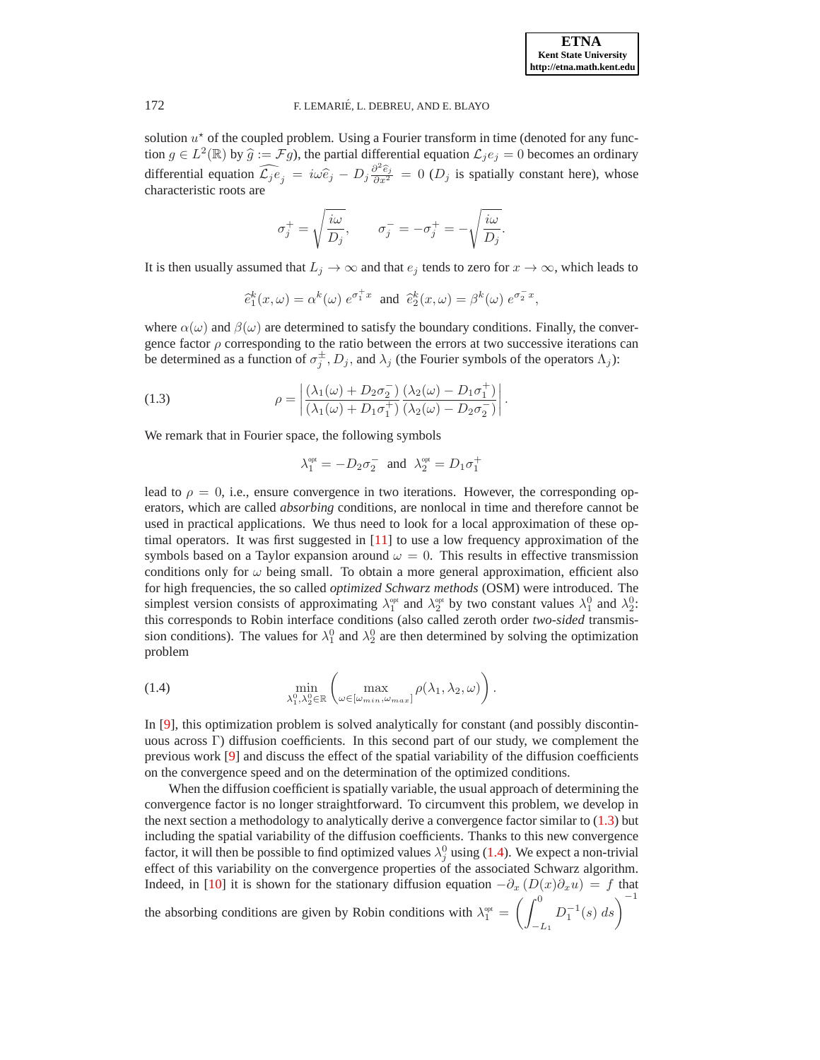solution  $u^*$  of the coupled problem. Using a Fourier transform in time (denoted for any function  $g \in L^2(\mathbb{R})$  by  $\widehat{g} := \mathcal{F}g$ , the partial differential equation  $\mathcal{L}_j e_j = 0$  becomes an ordinary differential equation  $\widehat{\mathcal{L}_j e_j} = i\omega \widehat{e}_j - D_j \frac{\partial^2 \widehat{e}_j}{\partial x^2} = 0$  ( $D_j$  is spatially constant here), whose characteristic roots are

$$
\sigma_j^+=\sqrt{\frac{i\omega}{D_j}},\qquad \sigma_j^-=-\sigma_j^+=-\sqrt{\frac{i\omega}{D_j}}.
$$

It is then usually assumed that  $L_j \to \infty$  and that  $e_j$  tends to zero for  $x \to \infty$ , which leads to

$$
\hat{e}_1^k(x,\omega) = \alpha^k(\omega) e^{\sigma_1^+ x}
$$
 and  $\hat{e}_2^k(x,\omega) = \beta^k(\omega) e^{\sigma_2^- x}$ ,

where  $\alpha(\omega)$  and  $\beta(\omega)$  are determined to satisfy the boundary conditions. Finally, the convergence factor  $\rho$  corresponding to the ratio between the errors at two successive iterations can be determined as a function of  $\sigma_j^{\pm}$ ,  $D_j$ , and  $\lambda_j$  (the Fourier symbols of the operators  $\Lambda_j$ ):

(1.3) 
$$
\rho = \left| \frac{(\lambda_1(\omega) + D_2 \sigma_2^{-})}{(\lambda_1(\omega) + D_1 \sigma_1^{+})} \frac{(\lambda_2(\omega) - D_1 \sigma_1^{+})}{(\lambda_2(\omega) - D_2 \sigma_2^{-})} \right|.
$$

We remark that in Fourier space, the following symbols

<span id="page-2-0"></span>
$$
\lambda_1^{\text{\tiny{opt}}} = -D_2 \sigma_2^- \ \ \text{and} \ \ \lambda_2^{\text{\tiny{opt}}} = D_1 \sigma_1^+
$$

lead to  $\rho = 0$ , i.e., ensure convergence in two iterations. However, the corresponding operators, which are called *absorbing* conditions, are nonlocal in time and therefore cannot be used in practical applications. We thus need to look for a local approximation of these optimal operators. It was first suggested in  $[11]$  to use a low frequency approximation of the symbols based on a Taylor expansion around  $\omega = 0$ . This results in effective transmission conditions only for  $\omega$  being small. To obtain a more general approximation, efficient also for high frequencies, the so called *optimized Schwarz methods* (OSM) were introduced. The simplest version consists of approximating  $\lambda_1^{\text{opt}}$  and  $\lambda_2^{\text{opt}}$  by two constant values  $\lambda_1^0$  and  $\lambda_2^0$ . this corresponds to Robin interface conditions (also called zeroth order *two-sided* transmission conditions). The values for  $\lambda_1^0$  and  $\lambda_2^0$  are then determined by solving the optimization problem

<span id="page-2-1"></span>(1.4) 
$$
\min_{\lambda_1^0, \lambda_2^0 \in \mathbb{R}} \left( \max_{\omega \in [\omega_{min}, \omega_{max}]} \rho(\lambda_1, \lambda_2, \omega) \right).
$$

In [\[9\]](#page-16-1), this optimization problem is solved analytically for constant (and possibly discontinuous across Γ) diffusion coefficients. In this second part of our study, we complement the previous work [\[9\]](#page-16-1) and discuss the effect of the spatial variability of the diffusion coefficients on the convergence speed and on the determination of the optimized conditions.

When the diffusion coefficient is spatially variable, the usual approach of determining the convergence factor is no longer straightforward. To circumvent this problem, we develop in the next section a methodology to analytically derive a convergence factor similar to  $(1.3)$  but including the spatial variability of the diffusion coefficients. Thanks to this new convergence factor, it will then be possible to find optimized values  $\lambda_j^0$  using [\(1.4\)](#page-2-1). We expect a non-trivial effect of this variability on the convergence properties of the associated Schwarz algorithm. Indeed, in [\[10\]](#page-16-3) it is shown for the stationary diffusion equation  $-\partial_x (D(x)\partial_x u) = f$  that the absorbing conditions are given by Robin conditions with  $\lambda_1^{\text{opt}} =$  $\int f^0$  $-L_1$  $D_1^{-1}(s) ds$ <sup>-1</sup>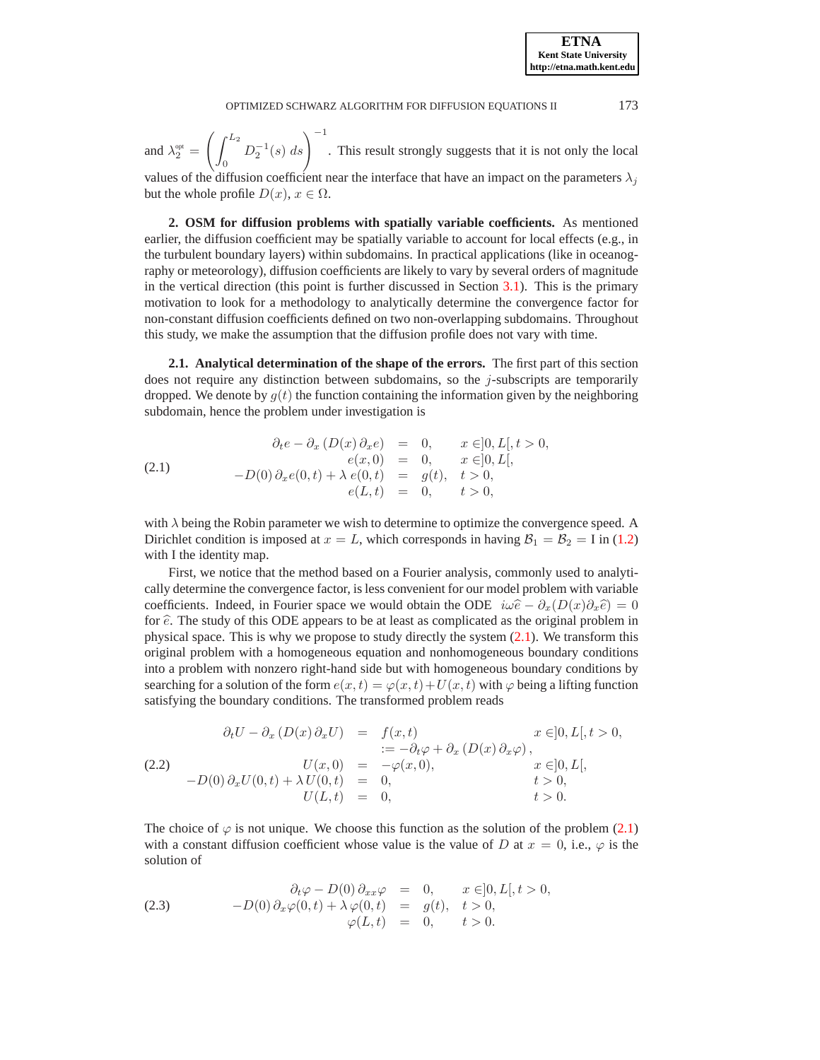and  $\lambda_2^{\text{opt}} =$  $\int f^{L_2}$  $\theta$  $D_2^{-1}(s) ds$   $\Big)^{-1}$ . This result strongly suggests that it is not only the local

values of the diffusion coefficient near the interface that have an impact on the parameters  $\lambda_i$ but the whole profile  $D(x)$ ,  $x \in \Omega$ .

<span id="page-3-0"></span>**2. OSM for diffusion problems with spatially variable coefficients.** As mentioned earlier, the diffusion coefficient may be spatially variable to account for local effects (e.g., in the turbulent boundary layers) within subdomains. In practical applications (like in oceanography or meteorology), diffusion coefficients are likely to vary by several orders of magnitude in the vertical direction (this point is further discussed in Section [3.1\)](#page-9-0). This is the primary motivation to look for a methodology to analytically determine the convergence factor for non-constant diffusion coefficients defined on two non-overlapping subdomains. Throughout this study, we make the assumption that the diffusion profile does not vary with time.

<span id="page-3-4"></span>**2.1. Analytical determination of the shape of the errors.** The first part of this section does not require any distinction between subdomains, so the  $j$ -subscripts are temporarily dropped. We denote by  $q(t)$  the function containing the information given by the neighboring subdomain, hence the problem under investigation is

<span id="page-3-1"></span>(2.1) 
$$
\begin{aligned}\n\partial_t e - \partial_x (D(x) \partial_x e) &= 0, & x \in ]0, L[, \ t > 0, \\
e(x, 0) &= 0, & x \in ]0, L[, \\
-D(0) \partial_x e(0, t) + \lambda e(0, t) &= g(t), & t > 0, \\
e(L, t) &= 0, & t > 0,\n\end{aligned}
$$

with  $\lambda$  being the Robin parameter we wish to determine to optimize the convergence speed. A Dirichlet condition is imposed at  $x = L$ , which corresponds in having  $B_1 = B_2 = I$  in [\(1.2\)](#page-1-1) with I the identity map.

First, we notice that the method based on a Fourier analysis, commonly used to analytically determine the convergence factor, is less convenient for our model problem with variable coefficients. Indeed, in Fourier space we would obtain the ODE  $i\omega\hat{e} - \partial_x(D(x)\partial_x\hat{e}) = 0$ for  $\hat{e}$ . The study of this ODE appears to be at least as complicated as the original problem in physical space. This is why we propose to study directly the system [\(2.1\)](#page-3-1). We transform this original problem with a homogeneous equation and nonhomogeneous boundary conditions into a problem with nonzero right-hand side but with homogeneous boundary conditions by searching for a solution of the form  $e(x, t) = \varphi(x, t) + U(x, t)$  with  $\varphi$  being a lifting function satisfying the boundary conditions. The transformed problem reads

<span id="page-3-2"></span>
$$
\partial_t U - \partial_x (D(x) \partial_x U) = f(x, t) \qquad x \in ]0, L[, t > 0,
$$
  
\n
$$
U(x, 0) = -\partial_t \varphi + \partial_x (D(x) \partial_x \varphi),
$$
  
\n
$$
-D(0) \partial_x U(0, t) + \lambda U(0, t) = 0, \qquad t > 0,
$$
  
\n
$$
U(L, t) = 0, \qquad t > 0.
$$

The choice of  $\varphi$  is not unique. We choose this function as the solution of the problem [\(2.1\)](#page-3-1) with a constant diffusion coefficient whose value is the value of D at  $x = 0$ , i.e.,  $\varphi$  is the solution of

<span id="page-3-3"></span>(2.3) 
$$
\begin{aligned}\n\partial_t \varphi - D(0) \, \partial_{xx} \varphi &= 0, & x \in ]0, L[, \, t > 0, \\
-D(0) \, \partial_x \varphi(0, t) + \lambda \varphi(0, t) &= g(t), & t > 0, \\
\varphi(L, t) &= 0, & t > 0.\n\end{aligned}
$$

**ETNA Kent State University http://etna.math.kent.edu**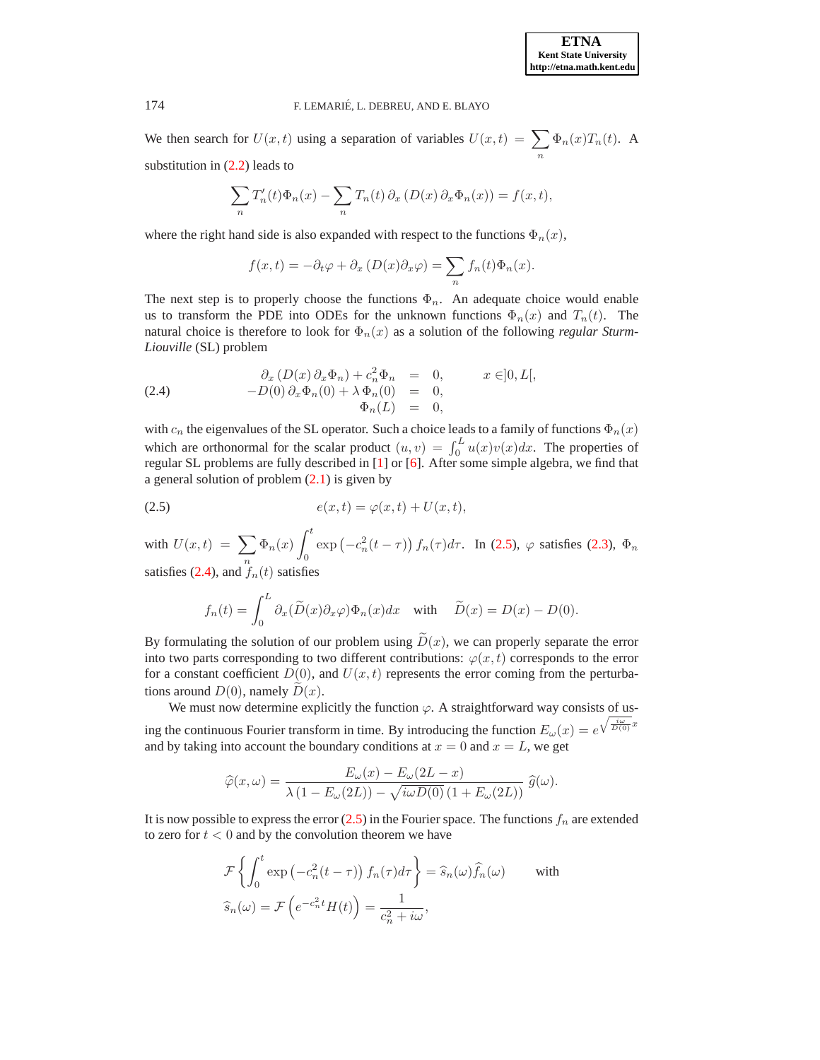We then search for  $U(x, t)$  using a separation of variables  $U(x, t) = \sum$ n  $\Phi_n(x)T_n(t)$ . A substitution in [\(2.2\)](#page-3-2) leads to

$$
\sum_{n} T'_{n}(t)\Phi_{n}(x) - \sum_{n} T_{n}(t)\partial_{x}(D(x)\partial_{x}\Phi_{n}(x)) = f(x,t),
$$

where the right hand side is also expanded with respect to the functions  $\Phi_n(x)$ ,

<span id="page-4-1"></span>
$$
f(x,t) = -\partial_t \varphi + \partial_x (D(x)\partial_x \varphi) = \sum_n f_n(t)\Phi_n(x).
$$

The next step is to properly choose the functions  $\Phi_n$ . An adequate choice would enable us to transform the PDE into ODEs for the unknown functions  $\Phi_n(x)$  and  $T_n(t)$ . The natural choice is therefore to look for  $\Phi_n(x)$  as a solution of the following *regular Sturm-Liouville* (SL) problem

(2.4) 
$$
\begin{aligned}\n\partial_x \left( D(x) \partial_x \Phi_n \right) + c_n^2 \Phi_n &= 0, & x \in ]0, L[, \\
-D(0) \partial_x \Phi_n(0) + \lambda \Phi_n(0) &= 0, \\
\Phi_n(L) &= 0,\n\end{aligned}
$$

with  $c_n$  the eigenvalues of the SL operator. Such a choice leads to a family of functions  $\Phi_n(x)$ which are orthonormal for the scalar product  $(u, v) = \int_0^L u(x)v(x)dx$ . The properties of regular SL problems are fully described in [\[1\]](#page-15-5) or [\[6\]](#page-15-6). After some simple algebra, we find that a general solution of problem  $(2.1)$  is given by

$$
(2.5) \qquad \qquad e(x,t) = \varphi(x,t) + U(x,t),
$$

with  $U(x,t) = \sum \Phi_n(x)$ satisfies [\(2.4\)](#page-4-1), and  $\int_{0}^{n}$  (t) satisfies  $\int_0^t$ 0  $\exp(-c_n^2(t-\tau)) f_n(\tau) d\tau$ . In [\(2.5\)](#page-4-0),  $\varphi$  satisfies [\(2.3\)](#page-3-3),  $\Phi_n$ 

<span id="page-4-0"></span>
$$
f_n(t) = \int_0^L \partial_x(\widetilde{D}(x)\partial_x \varphi)\Phi_n(x)dx \quad \text{with} \quad \widetilde{D}(x) = D(x) - D(0).
$$

By formulating the solution of our problem using  $\widetilde{D}(x)$ , we can properly separate the error into two parts corresponding to two different contributions:  $\varphi(x, t)$  corresponds to the error for a constant coefficient  $D(0)$ , and  $U(x, t)$  represents the error coming from the perturbations around  $D(0)$ , namely  $\tilde{D}(x)$ .

We must now determine explicitly the function  $\varphi$ . A straightforward way consists of using the continuous Fourier transform in time. By introducing the function  $E_{\omega}(x) = e^{\sqrt{\frac{i\omega}{D(0)}}x}$ and by taking into account the boundary conditions at  $x = 0$  and  $x = L$ , we get

$$
\widehat{\varphi}(x,\omega) = \frac{E_{\omega}(x) - E_{\omega}(2L - x)}{\lambda(1 - E_{\omega}(2L)) - \sqrt{i\omega D(0)}(1 + E_{\omega}(2L))} \widehat{g}(\omega).
$$

It is now possible to express the error  $(2.5)$  in the Fourier space. The functions  $f_n$  are extended to zero for  $t < 0$  and by the convolution theorem we have

$$
\mathcal{F}\left\{\int_0^t \exp\left(-c_n^2(t-\tau)\right)f_n(\tau)d\tau\right\} = \hat{s}_n(\omega)\hat{f}_n(\omega) \quad \text{with}
$$

$$
\hat{s}_n(\omega) = \mathcal{F}\left(e^{-c_n^2t}H(t)\right) = \frac{1}{c_n^2 + i\omega},
$$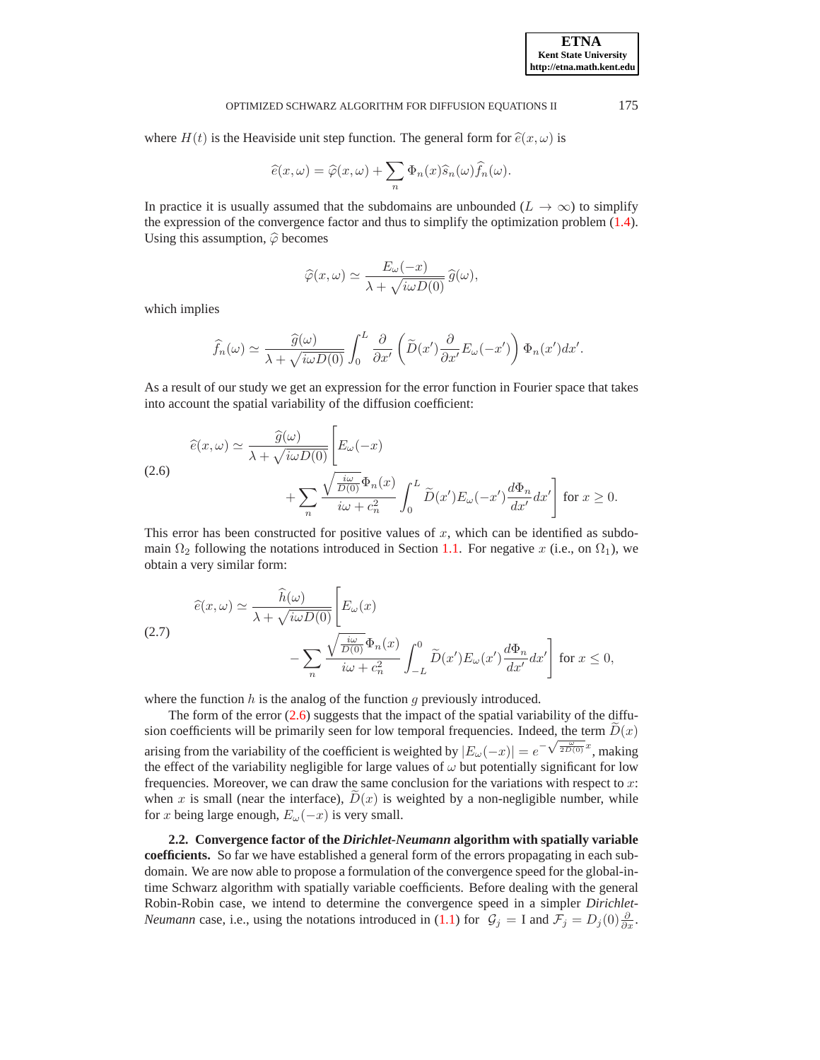where  $H(t)$  is the Heaviside unit step function. The general form for  $\hat{e}(x, \omega)$  is

$$
\widehat{e}(x,\omega) = \widehat{\varphi}(x,\omega) + \sum_{n} \Phi_n(x)\widehat{s}_n(\omega)\widehat{f}_n(\omega).
$$

In practice it is usually assumed that the subdomains are unbounded ( $L \rightarrow \infty$ ) to simplify the expression of the convergence factor and thus to simplify the optimization problem [\(1.4\)](#page-2-1). Using this assumption,  $\hat{\varphi}$  becomes

<span id="page-5-0"></span>
$$
\widehat{\varphi}(x,\omega) \simeq \frac{E_{\omega}(-x)}{\lambda + \sqrt{i\omega D(0)}} \,\widehat{g}(\omega),
$$

which implies

$$
\widehat{f}_n(\omega) \simeq \frac{\widehat{g}(\omega)}{\lambda + \sqrt{i\omega D(0)}} \int_0^L \frac{\partial}{\partial x'} \left( \widetilde{D}(x') \frac{\partial}{\partial x'} E_\omega(-x') \right) \Phi_n(x') dx'.
$$

As a result of our study we get an expression for the error function in Fourier space that takes into account the spatial variability of the diffusion coefficient:

(2.6)  
\n
$$
\hat{e}(x,\omega) \simeq \frac{\hat{g}(\omega)}{\lambda + \sqrt{i\omega D(0)}} \left[ E_{\omega}(-x) + \sum_{n} \frac{\sqrt{\frac{i\omega}{D(0)}} \Phi_n(x)}{i\omega + c_n^2} \int_0^L \widetilde{D}(x') E_{\omega}(-x') \frac{d\Phi_n}{dx'} dx' \right] \text{ for } x \ge 0.
$$

This error has been constructed for positive values of  $x$ , which can be identified as subdomain  $\Omega_2$  following the notations introduced in Section [1.1.](#page-1-2) For negative x (i.e., on  $\Omega_1$ ), we obtain a very similar form:

<span id="page-5-1"></span>(2.7)  
\n
$$
\widehat{e}(x,\omega) \simeq \frac{\widehat{h}(\omega)}{\lambda + \sqrt{i\omega D(0)}} \left[ E_{\omega}(x) - \sum_{n} \frac{\sqrt{\frac{i\omega}{D(0)}} \Phi_n(x)}{i\omega + c_n^2} \int_{-L}^0 \widetilde{D}(x') E_{\omega}(x') \frac{d\Phi_n}{dx'} dx' \right] \text{ for } x \le 0,
$$

where the function  $h$  is the analog of the function  $g$  previously introduced.

The form of the error  $(2.6)$  suggests that the impact of the spatial variability of the diffusion coefficients will be primarily seen for low temporal frequencies. Indeed, the term  $D(x)$ arising from the variability of the coefficient is weighted by  $|E_{\omega}(-x)| = e^{-\sqrt{\frac{\omega}{2D(0)}}x}$ , making the effect of the variability negligible for large values of  $\omega$  but potentially significant for low frequencies. Moreover, we can draw the same conclusion for the variations with respect to x: when x is small (near the interface),  $D(x)$  is weighted by a non-negligible number, while for x being large enough,  $E_{\omega}(-x)$  is very small.

**2.2. Convergence factor of the** *Dirichlet-Neumann* **algorithm with spatially variable coefficients.** So far we have established a general form of the errors propagating in each subdomain. We are now able to propose a formulation of the convergence speed for the global-intime Schwarz algorithm with spatially variable coefficients. Before dealing with the general Robin-Robin case, we intend to determine the convergence speed in a simpler *Dirichlet-Neumann* case, i.e., using the notations introduced in [\(1.1\)](#page-1-0) for  $\mathcal{G}_j = I$  and  $\mathcal{F}_j = D_j(0) \frac{\partial}{\partial x}$ .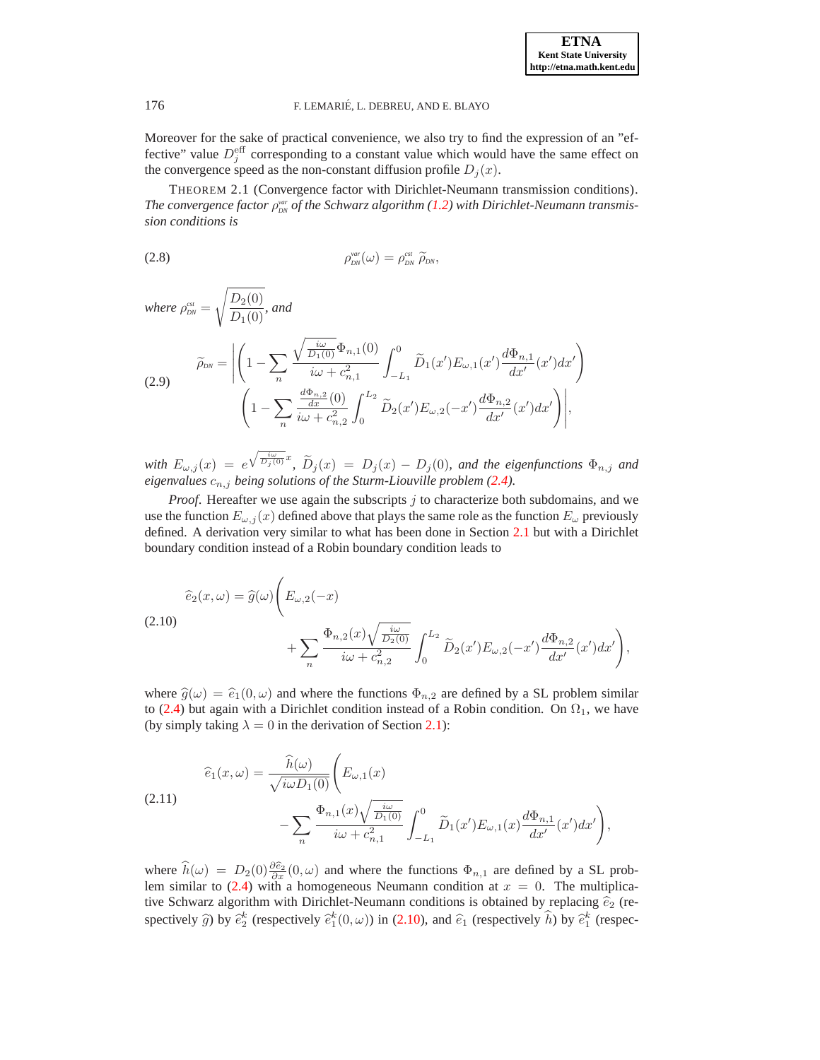Moreover for the sake of practical convenience, we also try to find the expression of an "effective" value  $D_j^{\text{eff}}$  corresponding to a constant value which would have the same effect on the convergence speed as the non-constant diffusion profile  $D_j(x)$ .

<span id="page-6-4"></span><span id="page-6-3"></span>THEOREM 2.1 (Convergence factor with Dirichlet-Neumann transmission conditions). *The convergence factor*  $\rho_{\scriptscriptstyle DNN}^{\scriptscriptstyle var}$  *of the Schwarz algorithm* [\(1.2\)](#page-1-1) with Dirichlet-Neumann transmis*sion conditions is*

$$
\rho_{\scriptscriptstyle DN}^{\scriptscriptstyle var}(\omega)=\rho_{\scriptscriptstyle DN}^{\scriptscriptstyle \rm car}\,\,\widetilde{\rho}_{\scriptscriptstyle DN},
$$

<span id="page-6-2"></span>where 
$$
\rho_{DN}^{est} = \sqrt{\frac{D_2(0)}{D_1(0)}},
$$
 and  
\n
$$
\widetilde{\rho}_{DN} = \left| \left( 1 - \sum_n \frac{\sqrt{\frac{i\omega}{D_1(0)}} \Phi_{n,1}(0)}{i\omega + c_{n,1}^2} \int_{-L_1}^0 \widetilde{D}_1(x') E_{\omega,1}(x') \frac{d\Phi_{n,1}}{dx'}(x') dx' \right) \right|
$$
\n
$$
\left( 1 - \sum_n \frac{\frac{d\Phi_{n,2}}{dx}(0)}{i\omega + c_{n,2}^2} \int_0^{L_2} \widetilde{D}_2(x') E_{\omega,2}(-x') \frac{d\Phi_{n,2}}{dx'}(x') dx' \right) \right|,
$$

 $with E_{\omega,j}(x) = e^{\sqrt{\frac{i\omega}{D_j(0)}}x}$ ,  $\widetilde{D}_j(x) = D_j(x) - D_j(0)$ *, and the eigenfunctions*  $\Phi_{n,j}$  *and eigenvalues* cn,j *being solutions of the Sturm-Liouville problem [\(2.4\)](#page-4-1).*

*Proof*. Hereafter we use again the subscripts j to characterize both subdomains, and we use the function  $E_{\omega,i}(x)$  defined above that plays the same role as the function  $E_{\omega}$  previously defined. A derivation very similar to what has been done in Section [2.1](#page-3-4) but with a Dirichlet boundary condition instead of a Robin boundary condition leads to

<span id="page-6-0"></span>
$$
\begin{split} \widehat{e}_2(x,\omega) &= \widehat{g}(\omega) \Bigg( E_{\omega,2}(-x) \\ &+ \sum_n \frac{\Phi_{n,2}(x) \sqrt{\frac{i\omega}{D_2(0)}}}{i\omega + c_{n,2}^2} \int_0^{L_2} \widetilde{D}_2(x') E_{\omega,2}(-x') \frac{d\Phi_{n,2}}{dx'}(x') dx' \Bigg), \end{split}
$$

where  $\hat{g}(\omega) = \hat{e}_1(0, \omega)$  and where the functions  $\Phi_{n,2}$  are defined by a SL problem similar to [\(2.4\)](#page-4-1) but again with a Dirichlet condition instead of a Robin condition. On  $\Omega_1$ , we have (by simply taking  $\lambda = 0$  in the derivation of Section [2.1\)](#page-3-4):

<span id="page-6-1"></span>(2.11) 
$$
\hat{e}_1(x,\omega) = \frac{\hat{h}(\omega)}{\sqrt{i\omega D_1(0)}} \left( E_{\omega,1}(x) - \sum_{n} \frac{\Phi_{n,1}(x) \sqrt{\frac{i\omega}{D_1(0)}}}{i\omega + c_{n,1}^2} \int_{-L_1}^0 \tilde{D}_1(x') E_{\omega,1}(x) \frac{d\Phi_{n,1}}{dx'}(x') dx' \right),
$$

where  $\hat{h}(\omega) = D_2(0) \frac{\partial \hat{e}_2}{\partial x}(0,\omega)$  and where the functions  $\Phi_{n,1}$  are defined by a SL prob-lem similar to [\(2.4\)](#page-4-1) with a homogeneous Neumann condition at  $x = 0$ . The multiplicative Schwarz algorithm with Dirichlet-Neumann conditions is obtained by replacing  $\hat{e}_2$  (respectively  $\hat{g}$ ) by  $\hat{e}_2^k$  (respectively  $\hat{e}_1^k(0,\omega)$ ) in [\(2.10\)](#page-6-0), and  $\hat{e}_1$  (respectively  $\hat{h}$ ) by  $\hat{e}_1^k$  (respec-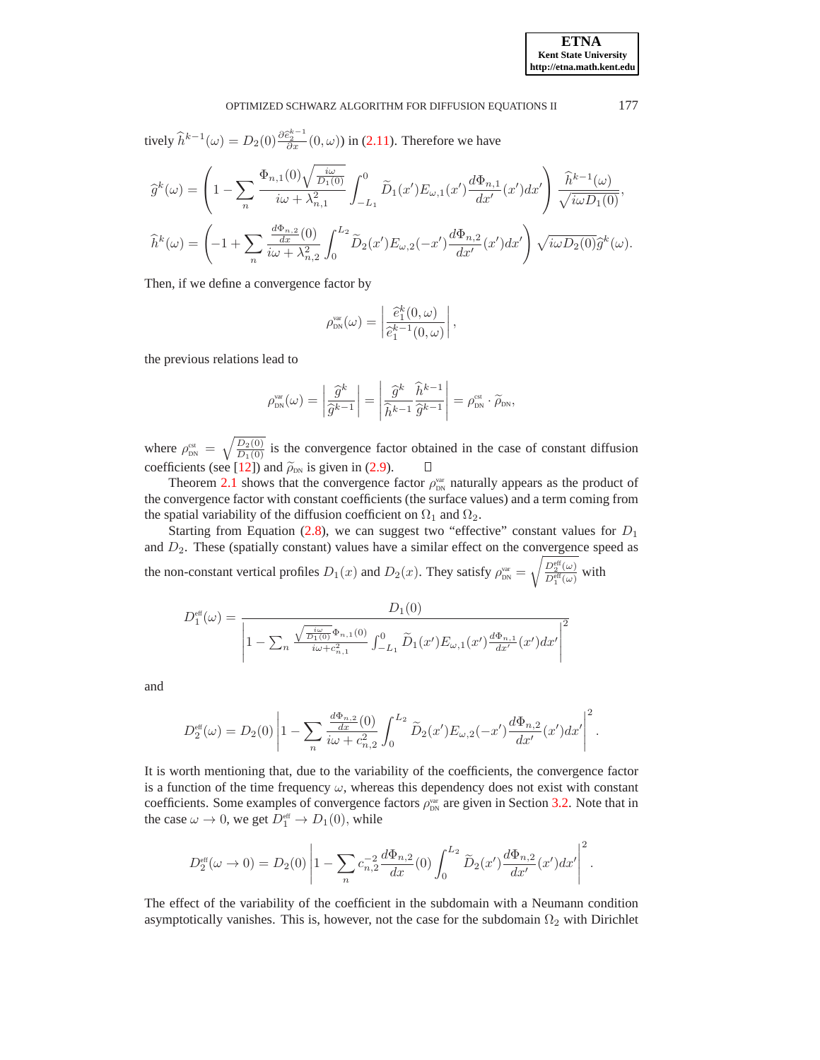tively 
$$
\hat{h}^{k-1}(\omega) = D_2(0) \frac{\partial \hat{\epsilon}_2^{k-1}}{\partial x}(0,\omega)
$$
 in (2.11). Therefore we have

$$
\widehat{g}^k(\omega) = \left(1 - \sum_n \frac{\Phi_{n,1}(0)\sqrt{\frac{i\omega}{D_1(0)}}}{i\omega + \lambda_{n,1}^2} \int_{-L_1}^0 \widetilde{D}_1(x') E_{\omega,1}(x') \frac{d\Phi_{n,1}}{dx'}(x') dx'\right) \frac{\widehat{h}^{k-1}(\omega)}{\sqrt{i\omega D_1(0)}},
$$
  

$$
\widehat{h}^k(\omega) = \left(-1 + \sum_n \frac{\frac{d\Phi_{n,2}}{dx}(0)}{i\omega + \lambda_{n,2}^2} \int_0^{L_2} \widetilde{D}_2(x') E_{\omega,2}(-x') \frac{d\Phi_{n,2}}{dx'}(x') dx'\right) \sqrt{i\omega D_2(0)} \widehat{g}^k(\omega).
$$

Then, if we define a convergence factor by

$$
\rho_{\text{DN}}^{\text{var}}(\omega) = \left| \frac{\widehat{e}_1^k(0,\omega)}{\widehat{e}_1^{k-1}(0,\omega)} \right|,
$$

the previous relations lead to

$$
\rho_{\scriptscriptstyle \text{DN}}^{\scriptscriptstyle \text{var}}(\omega)=\left|\frac{\widehat{g}^k}{\widehat{g}^{k-1}}\right|=\left|\frac{\widehat{g}^k}{\widehat{h}^{k-1}}\frac{\widehat{h}^{k-1}}{\widehat{g}^{k-1}}\right|=\rho_{\scriptscriptstyle \text{DN}}^{\scriptscriptstyle \text{est}}\cdot\widetilde{\rho}_{\scriptscriptstyle \text{DN}},
$$

where  $\rho_{DN}^{est} = \sqrt{\frac{D_2(0)}{D_1(0)}}$  is the convergence factor obtained in the case of constant diffusion coefficients (see [\[12\]](#page-16-5)) and  $\tilde{\rho}_{DN}$  is given in [\(2.9\)](#page-6-2).  $\Box$ 

Theorem [2.1](#page-6-3) shows that the convergence factor  $\rho_{\text{DN}}^{\text{var}}$  naturally appears as the product of the convergence factor with constant coefficients (the surface values) and a term coming from the spatial variability of the diffusion coefficient on  $\Omega_1$  and  $\Omega_2$ .

Starting from Equation [\(2.8\)](#page-6-4), we can suggest two "effective" constant values for  $D_1$ and  $D_2$ . These (spatially constant) values have a similar effect on the convergence speed as the non-constant vertical profiles  $D_1(x)$  and  $D_2(x)$ . They satisfy  $\rho_{\text{DN}}^{\text{var}} =$  $\sqrt{D_2^{\text{eff}}(\omega)}$  $\frac{D_2(\omega)}{D_1^{\text{eff}}(\omega)}$  with

$$
D_1^{\text{eff}}(\omega) = \frac{D_1(0)}{\left|1 - \sum_n \frac{\sqrt{\frac{i\omega}{D_1(0)}} \Phi_{n,1}(0)}{i\omega + c_{n,1}^2} \int_{-L_1}^0 \widetilde{D}_1(x') E_{\omega,1}(x') \frac{d\Phi_{n,1}}{dx'}(x') dx'\right|^2}
$$

and

$$
D_2^{\text{eff}}(\omega) = D_2(0) \left| 1 - \sum_n \frac{\frac{d\Phi_{n,2}}{dx}(0)}{i\omega + c_{n,2}^2} \int_0^{L_2} \widetilde{D}_2(x') E_{\omega,2}(-x') \frac{d\Phi_{n,2}}{dx'}(x') dx' \right|^2.
$$

It is worth mentioning that, due to the variability of the coefficients, the convergence factor is a function of the time frequency  $\omega$ , whereas this dependency does not exist with constant coefficients. Some examples of convergence factors  $\rho_{\text{DN}}^{\text{var}}$  are given in Section [3.2.](#page-10-0) Note that in the case  $\omega \to 0$ , we get  $D_1^{\text{eff}} \to D_1(0)$ , while

$$
D_2^{\text{eff}}(\omega \to 0) = D_2(0) \left| 1 - \sum_n c_{n,2}^{-2} \frac{d\Phi_{n,2}}{dx}(0) \int_0^{L_2} \widetilde{D}_2(x') \frac{d\Phi_{n,2}}{dx'}(x') dx' \right|^2.
$$

The effect of the variability of the coefficient in the subdomain with a Neumann condition asymptotically vanishes. This is, however, not the case for the subdomain  $\Omega_2$  with Dirichlet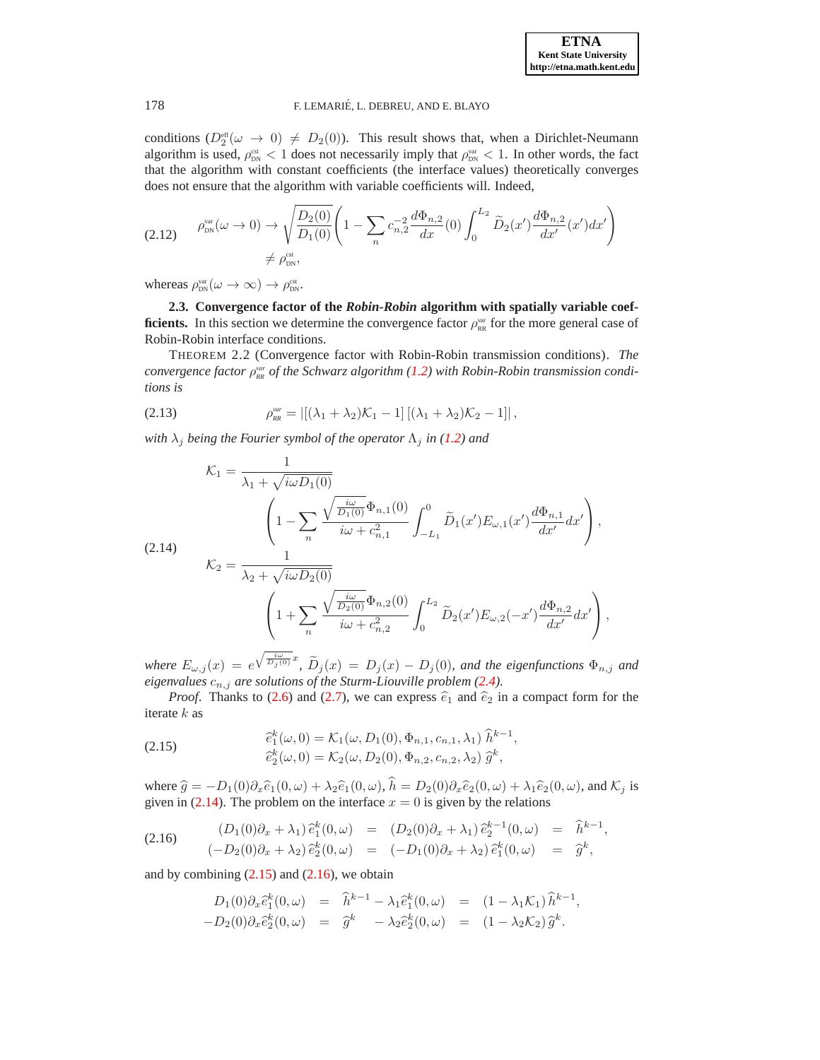conditions  $(D_2^{\text{eff}}(\omega \to 0) \neq D_2(0))$ . This result shows that, when a Dirichlet-Neumann algorithm is used,  $\rho_{\text{DN}}^{\text{est}} < 1$  does not necessarily imply that  $\rho_{\text{DN}}^{\text{var}} < 1$ . In other words, the fact that the algorithm with constant coefficients (the interface values) theoretically converges does not ensure that the algorithm with variable coefficients will. Indeed,

<span id="page-8-4"></span>
$$
(2.12) \qquad \rho_{\text{DN}}^{\text{var}}(\omega \to 0) \to \sqrt{\frac{D_2(0)}{D_1(0)}} \left(1 - \sum_n c_{n,2}^{-2} \frac{d\Phi_{n,2}}{dx}(0) \int_0^{L_2} \widetilde{D}_2(x') \frac{d\Phi_{n,2}}{dx'}(x') dx'\right) \newline \neq \rho_{\text{DN}}^{\text{est}},
$$

whereas  $\rho_{DN}^{\text{var}}(\omega \to \infty) \to \rho_{DN}^{\text{cst}}$ .

**2.3. Convergence factor of the** *Robin-Robin* **algorithm with spatially variable coefficients.** In this section we determine the convergence factor  $\rho_{RR}^{\text{var}}$  for the more general case of Robin-Robin interface conditions.

THEOREM 2.2 (Convergence factor with Robin-Robin transmission conditions). *The convergence factor*  $ρ_{RR}^{var}$  *of the Schwarz algorithm* [\(1.2\)](#page-1-1) with Robin-Robin transmission condi*tions is*

<span id="page-8-3"></span><span id="page-8-0"></span>(2.13) 
$$
\rho_{RR}^{var} = |[(\lambda_1 + \lambda_2)\mathcal{K}_1 - 1] [(\lambda_1 + \lambda_2)\mathcal{K}_2 - 1]|,
$$

*with*  $\lambda_j$  *being the Fourier symbol of the operator*  $\Lambda_j$  *in* [\(1.2\)](#page-1-1) *and* 

$$
\mathcal{K}_{1} = \frac{1}{\lambda_{1} + \sqrt{i\omega D_{1}(0)}}
$$
\n
$$
\left(1 - \sum_{n} \frac{\sqrt{\frac{i\omega}{D_{1}(0)}} \Phi_{n,1}(0)}{i\omega + c_{n,1}^{2}} \int_{-L_{1}}^{0} \tilde{D}_{1}(x') E_{\omega,1}(x') \frac{d\Phi_{n,1}}{dx'} dx'\right),
$$
\n(2.14)\n
$$
\mathcal{K}_{2} = \frac{1}{\lambda_{2} + \sqrt{i\omega D_{2}(0)}}
$$
\n
$$
\left(1 + \sum_{n} \frac{\sqrt{\frac{i\omega}{D_{2}(0)}} \Phi_{n,2}(0)}{i\omega + c_{n,2}^{2}} \int_{0}^{L_{2}} \tilde{D}_{2}(x') E_{\omega,2}(-x') \frac{d\Phi_{n,2}}{dx'} dx'\right),
$$

 $where E_{\omega,j}(x) = e^{\sqrt{\frac{i\omega}{D_j(0)}}x}, \ \tilde{D}_j(x) = D_j(x) - D_j(0)$ , and the eigenfunctions  $\Phi_{n,j}$  and *eigenvalues*  $c_{n,j}$  *are solutions of the Sturm-Liouville problem [\(2.4\)](#page-4-1).* 

<span id="page-8-1"></span>*Proof.* Thanks to [\(2.6\)](#page-5-0) and [\(2.7\)](#page-5-1), we can express  $\hat{e}_1$  and  $\hat{e}_2$  in a compact form for the iterate k as

(2.15) 
$$
\begin{aligned}\n\hat{e}_1^k(\omega, 0) &= \mathcal{K}_1(\omega, D_1(0), \Phi_{n,1}, c_{n,1}, \lambda_1) \hat{h}^{k-1}, \\
\hat{e}_2^k(\omega, 0) &= \mathcal{K}_2(\omega, D_2(0), \Phi_{n,2}, c_{n,2}, \lambda_2) \hat{g}^k,\n\end{aligned}
$$

where  $\hat{g} = -D_1(0)\partial_x \hat{e}_1(0,\omega) + \lambda_2 \hat{e}_1(0,\omega), \hat{h} = D_2(0)\partial_x \hat{e}_2(0,\omega) + \lambda_1 \hat{e}_2(0,\omega)$ , and  $\mathcal{K}_j$  is given in [\(2.14\)](#page-8-0). The problem on the interface  $x = 0$  is given by the relations

(2.16) 
$$
(D_1(0)\partial_x + \lambda_1) \hat{e}_1^k(0,\omega) = (D_2(0)\partial_x + \lambda_1) \hat{e}_2^{k-1}(0,\omega) = \hat{h}^{k-1}, (-D_2(0)\partial_x + \lambda_2) \hat{e}_2^k(0,\omega) = (-D_1(0)\partial_x + \lambda_2) \hat{e}_1^k(0,\omega) = \hat{g}^k,
$$

and by combining  $(2.15)$  and  $(2.16)$ , we obtain

<span id="page-8-2"></span>
$$
D_1(0)\partial_x \hat{e}_1^k(0,\omega) = \hat{h}^{k-1} - \lambda_1 \hat{e}_1^k(0,\omega) = (1 - \lambda_1 \mathcal{K}_1) \hat{h}^{k-1},
$$
  

$$
-D_2(0)\partial_x \hat{e}_2^k(0,\omega) = \hat{g}^k - \lambda_2 \hat{e}_2^k(0,\omega) = (1 - \lambda_2 \mathcal{K}_2) \hat{g}^k.
$$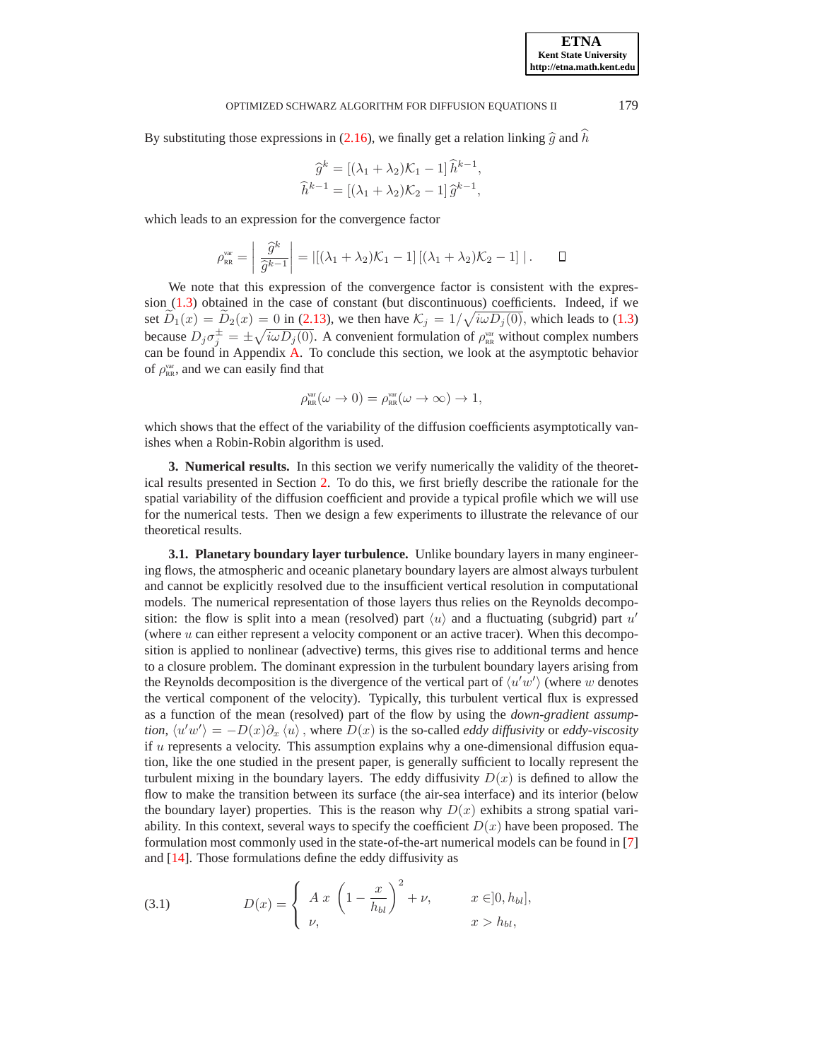By substituting those expressions in [\(2.16\)](#page-8-2), we finally get a relation linking  $\hat{g}$  and  $\hat{h}$ 

$$
\widehat{g}^k = [(\lambda_1 + \lambda_2)\mathcal{K}_1 - 1]\widehat{h}^{k-1},
$$
  

$$
\widehat{h}^{k-1} = [(\lambda_1 + \lambda_2)\mathcal{K}_2 - 1]\widehat{g}^{k-1},
$$

which leads to an expression for the convergence factor

$$
\rho_{RR}^{\text{var}} = \left| \frac{\widehat{g}^k}{\widehat{g}^{k-1}} \right| = \left| [(\lambda_1 + \lambda_2)\mathcal{K}_1 - 1] \left[ (\lambda_1 + \lambda_2)\mathcal{K}_2 - 1 \right] \right|.
$$

We note that this expression of the convergence factor is consistent with the expression [\(1.3\)](#page-2-0) obtained in the case of constant (but discontinuous) coefficients. Indeed, if we set  $\widetilde{D}_1(x) = \widetilde{D}_2(x) = 0$  in [\(2.13\)](#page-8-3), we then have  $\mathcal{K}_j = 1/\sqrt{i\omega D_j(0)}$ , which leads to [\(1.3\)](#page-2-0) because  $D_j \sigma_j^{\pm} = \pm \sqrt{i \omega D_j(0)}$ . A convenient formulation of  $\rho_{RR}^{\text{var}}$  without complex numbers can be found in Appendix [A.](#page-13-0) To conclude this section, we look at the asymptotic behavior of  $\rho_{RR}^{var}$ , and we can easily find that

$$
\rho_{\rm RR}^{\rm var}(\omega \to 0) = \rho_{\rm RR}^{\rm var}(\omega \to \infty) \to 1,
$$

which shows that the effect of the variability of the diffusion coefficients asymptotically vanishes when a Robin-Robin algorithm is used.

<span id="page-9-1"></span>**3. Numerical results.** In this section we verify numerically the validity of the theoretical results presented in Section [2.](#page-3-0) To do this, we first briefly describe the rationale for the spatial variability of the diffusion coefficient and provide a typical profile which we will use for the numerical tests. Then we design a few experiments to illustrate the relevance of our theoretical results.

<span id="page-9-0"></span>**3.1. Planetary boundary layer turbulence.** Unlike boundary layers in many engineering flows, the atmospheric and oceanic planetary boundary layers are almost always turbulent and cannot be explicitly resolved due to the insufficient vertical resolution in computational models. The numerical representation of those layers thus relies on the Reynolds decomposition: the flow is split into a mean (resolved) part  $\langle u \rangle$  and a fluctuating (subgrid) part u' (where  $u$  can either represent a velocity component or an active tracer). When this decomposition is applied to nonlinear (advective) terms, this gives rise to additional terms and hence to a closure problem. The dominant expression in the turbulent boundary layers arising from the Reynolds decomposition is the divergence of the vertical part of  $\langle u'w' \rangle$  (where w denotes the vertical component of the velocity). Typically, this turbulent vertical flux is expressed as a function of the mean (resolved) part of the flow by using the *down-gradient assumption,*  $\langle u'w' \rangle = -D(x)\partial_x \langle u \rangle$ , where  $D(x)$  is the so-called *eddy diffusivity* or *eddy-viscosity* if  $u$  represents a velocity. This assumption explains why a one-dimensional diffusion equation, like the one studied in the present paper, is generally sufficient to locally represent the turbulent mixing in the boundary layers. The eddy diffusivity  $D(x)$  is defined to allow the flow to make the transition between its surface (the air-sea interface) and its interior (below the boundary layer) properties. This is the reason why  $D(x)$  exhibits a strong spatial variability. In this context, several ways to specify the coefficient  $D(x)$  have been proposed. The formulation most commonly used in the state-of-the-art numerical models can be found in [\[7\]](#page-15-3) and [\[14\]](#page-16-2). Those formulations define the eddy diffusivity as

<span id="page-9-2"></span>(3.1) 
$$
D(x) = \begin{cases} A x \left(1 - \frac{x}{h_{bl}}\right)^2 + \nu, & x \in ]0, h_{bl}], \\ \nu, & x > h_{bl}, \end{cases}
$$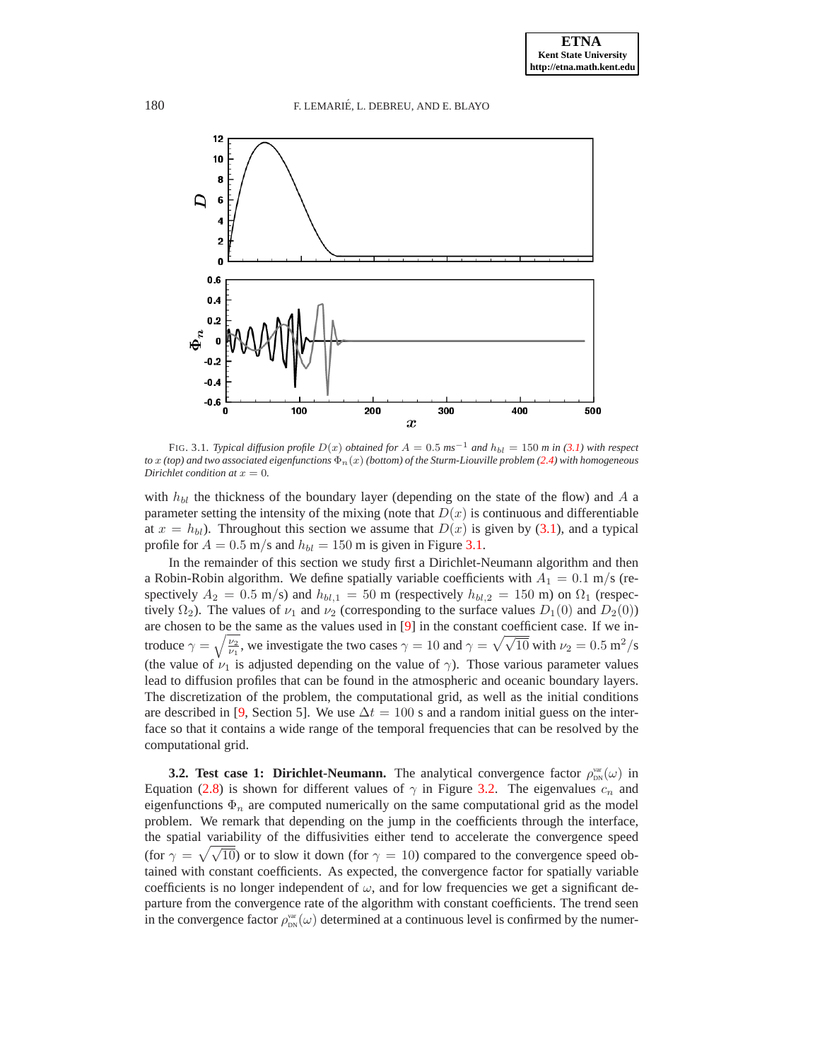

<span id="page-10-1"></span>FIG. 3.1. *Typical diffusion profile*  $D(x)$  *obtained for*  $A = 0.5$   $ms^{-1}$  *and*  $h_{bl} = 150$  *m in [\(3.1\)](#page-9-2)* with respect *to*  $x$  *(top)* and two associated eigenfunctions  $\Phi_n(x)$  *(bottom)* of the Sturm-Liouville problem [\(2.4\)](#page-4-1) with homogeneous *Dirichlet condition at*  $x = 0$ *.* 

with  $h_{bl}$  the thickness of the boundary layer (depending on the state of the flow) and A a parameter setting the intensity of the mixing (note that  $D(x)$  is continuous and differentiable at  $x = h_{bl}$ . Throughout this section we assume that  $D(x)$  is given by [\(3.1\)](#page-9-2), and a typical profile for  $A = 0.5$  m/s and  $h_{bl} = 150$  m is given in Figure [3.1.](#page-10-1)

In the remainder of this section we study first a Dirichlet-Neumann algorithm and then a Robin-Robin algorithm. We define spatially variable coefficients with  $A_1 = 0.1$  m/s (respectively  $A_2 = 0.5$  m/s) and  $h_{bl,1} = 50$  m (respectively  $h_{bl,2} = 150$  m) on  $\Omega_1$  (respectively  $\Omega_2$ ). The values of  $\nu_1$  and  $\nu_2$  (corresponding to the surface values  $D_1(0)$  and  $D_2(0)$ ) are chosen to be the same as the values used in [\[9\]](#page-16-1) in the constant coefficient case. If we introduce  $\gamma = \sqrt{\frac{\nu_2}{\nu_1}}$ , we investigate the two cases  $\gamma = 10$  and  $\gamma = \sqrt{\sqrt{10}}$  with  $\nu_2 = 0.5$  m<sup>2</sup>/s (the value of  $\nu_1$  is adjusted depending on the value of  $\gamma$ ). Those various parameter values lead to diffusion profiles that can be found in the atmospheric and oceanic boundary layers. The discretization of the problem, the computational grid, as well as the initial conditions are described in [\[9,](#page-16-1) Section 5]. We use  $\Delta t = 100$  s and a random initial guess on the interface so that it contains a wide range of the temporal frequencies that can be resolved by the computational grid.

<span id="page-10-0"></span>**3.2. Test case 1: Dirichlet-Neumann.** The analytical convergence factor  $\rho_{\text{DN}}^{\text{var}}(\omega)$  in Equation [\(2.8\)](#page-6-4) is shown for different values of  $\gamma$  in Figure [3.2.](#page-11-0) The eigenvalues  $c_n$  and eigenfunctions  $\Phi_n$  are computed numerically on the same computational grid as the model problem. We remark that depending on the jump in the coefficients through the interface, the spatial variability of the diffusivities either tend to accelerate the convergence speed (for  $\gamma = \sqrt{\sqrt{10}}$ ) or to slow it down (for  $\gamma = 10$ ) compared to the convergence speed obtained with constant coefficients. As expected, the convergence factor for spatially variable coefficients is no longer independent of  $\omega$ , and for low frequencies we get a significant departure from the convergence rate of the algorithm with constant coefficients. The trend seen in the convergence factor  $\rho_{\text{DN}}^{\text{var}}(\omega)$  determined at a continuous level is confirmed by the numer-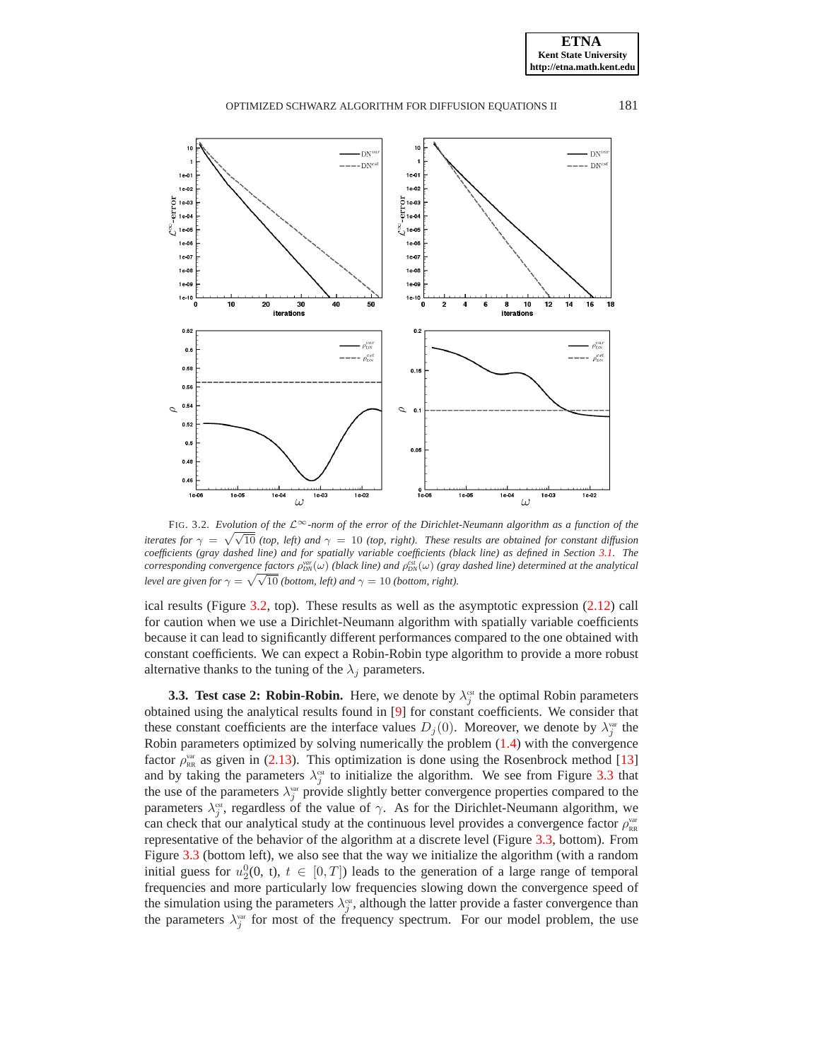**ETNA Kent State University http://etna.math.kent.edu**

# OPTIMIZED SCHWARZ ALGORITHM FOR DIFFUSION EQUATIONS II 181



<span id="page-11-0"></span><sup>F</sup>IG. 3.2. *Evolution of the* <sup>L</sup>∞*-norm of the error of the Dirichlet-Neumann algorithm as a function of the iterates for*  $\gamma = \sqrt{\sqrt{10}}$  *(top, left) and*  $\gamma = 10$  *(top, right). These results are obtained for constant diffusion coefficients (gray dashed line) and for spatially variable coefficients (black line) as defined in Section [3.1.](#page-9-0) The*  $corresponding convergence factors$   $\rho_{ON}^{var}(\omega)$  (black line) and  $\rho_{DN}^{var}(\omega)$  (gray dashed line) determined at the analytical *level are given for*  $\gamma = \sqrt{\sqrt{10}}$  *(bottom, left) and*  $\gamma = 10$  *(bottom, right).* 

ical results (Figure [3.2,](#page-11-0) top). These results as well as the asymptotic expression [\(2.12\)](#page-8-4) call for caution when we use a Dirichlet-Neumann algorithm with spatially variable coefficients because it can lead to significantly different performances compared to the one obtained with constant coefficients. We can expect a Robin-Robin type algorithm to provide a more robust alternative thanks to the tuning of the  $\lambda_i$  parameters.

**3.3. Test case 2: Robin-Robin.** Here, we denote by  $\lambda_j^{\text{est}}$  the optimal Robin parameters obtained using the analytical results found in [\[9\]](#page-16-1) for constant coefficients. We consider that these constant coefficients are the interface values  $D_j(0)$ . Moreover, we denote by  $\lambda_j^{\text{var}}$  the Robin parameters optimized by solving numerically the problem [\(1.4\)](#page-2-1) with the convergence factor  $\rho_{RR}^{var}$  as given in [\(2.13\)](#page-8-3). This optimization is done using the Rosenbrock method [\[13\]](#page-16-6) and by taking the parameters  $\lambda_j^{\text{est}}$  to initialize the algorithm. We see from Figure [3.3](#page-12-0) that the use of the parameters  $\lambda_j^{\text{var}}$  provide slightly better convergence properties compared to the parameters  $\lambda_j^{\text{est}}$ , regardless of the value of  $\gamma$ . As for the Dirichlet-Neumann algorithm, we can check that our analytical study at the continuous level provides a convergence factor  $\rho_{RR}^{\text{var}}$ representative of the behavior of the algorithm at a discrete level (Figure [3.3,](#page-12-0) bottom). From Figure [3.3](#page-12-0) (bottom left), we also see that the way we initialize the algorithm (with a random initial guess for  $u_2^0(0, t)$ ,  $t \in [0, T]$ ) leads to the generation of a large range of temporal frequencies and more particularly low frequencies slowing down the convergence speed of the simulation using the parameters  $\lambda_j^{\text{est}}$ , although the latter provide a faster convergence than the parameters  $\lambda_j^{\text{var}}$  for most of the frequency spectrum. For our model problem, the use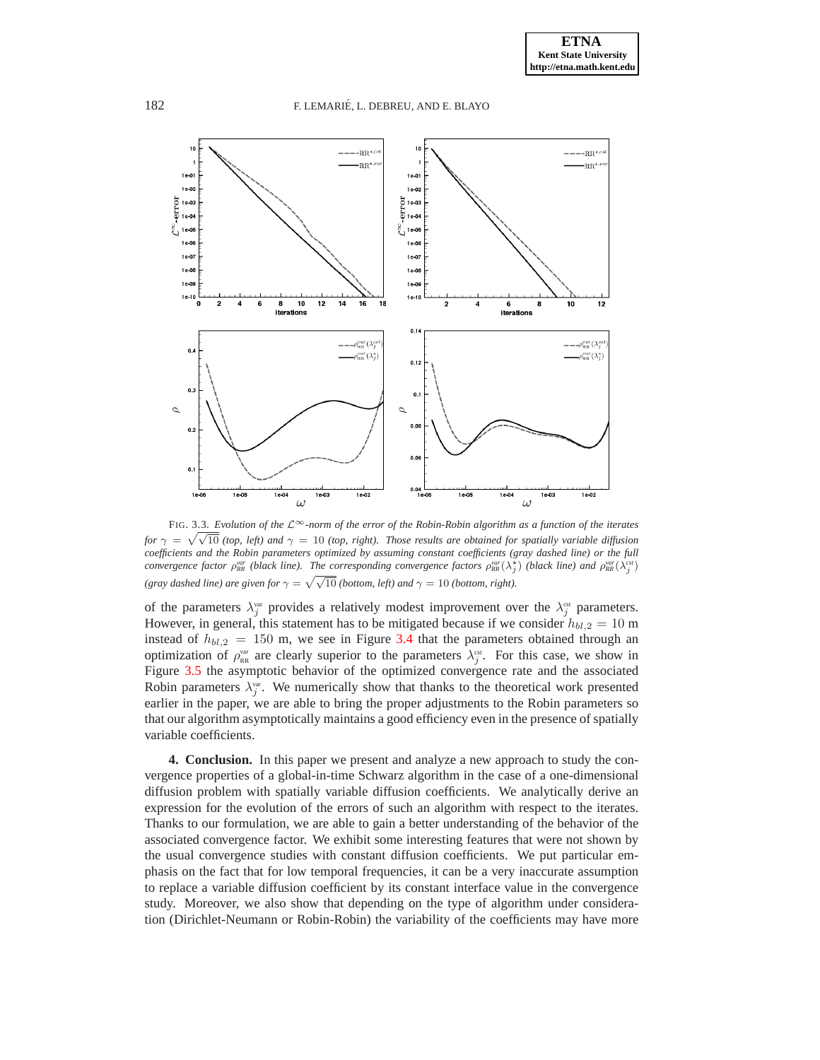

<span id="page-12-0"></span><sup>F</sup>IG. 3.3. *Evolution of the* <sup>L</sup>∞*-norm of the error of the Robin-Robin algorithm as a function of the iterates for*  $\gamma = \sqrt{\sqrt{10}}$  *(top, left) and*  $\gamma = 10$  *(top, right). Those results are obtained for spatially variable diffusion coefficients and the Robin parameters optimized by assuming constant coefficients (gray dashed line) or the full convergence factor*  $\rho_{RR}^{var}$  (black line). The corresponding convergence factors  $\rho_{RR}^{var}(\lambda_j^*)$  (black line) and  $\rho_{RR}^{var}(\lambda_j^{cs})$ *(gray dashed line) are given for*  $\gamma = \sqrt{\sqrt{10}}$  *(bottom, left) and*  $\gamma = 10$  *(bottom, right).* 

of the parameters  $\lambda_j^{\text{var}}$  provides a relatively modest improvement over the  $\lambda_j^{\text{est}}$  parameters. However, in general, this statement has to be mitigated because if we consider  $h_{bl,2} = 10$  m instead of  $h_{bl,2} = 150$  m, we see in Figure [3.4](#page-13-1) that the parameters obtained through an optimization of  $\rho_{\text{RR}}^{\text{var}}$  are clearly superior to the parameters  $\lambda_j^{\text{est}}$ . For this case, we show in Figure [3.5](#page-13-2) the asymptotic behavior of the optimized convergence rate and the associated Robin parameters  $\lambda_j^{\text{var}}$ . We numerically show that thanks to the theoretical work presented earlier in the paper, we are able to bring the proper adjustments to the Robin parameters so that our algorithm asymptotically maintains a good efficiency even in the presence of spatially variable coefficients.

**4. Conclusion.** In this paper we present and analyze a new approach to study the convergence properties of a global-in-time Schwarz algorithm in the case of a one-dimensional diffusion problem with spatially variable diffusion coefficients. We analytically derive an expression for the evolution of the errors of such an algorithm with respect to the iterates. Thanks to our formulation, we are able to gain a better understanding of the behavior of the associated convergence factor. We exhibit some interesting features that were not shown by the usual convergence studies with constant diffusion coefficients. We put particular emphasis on the fact that for low temporal frequencies, it can be a very inaccurate assumption to replace a variable diffusion coefficient by its constant interface value in the convergence study. Moreover, we also show that depending on the type of algorithm under consideration (Dirichlet-Neumann or Robin-Robin) the variability of the coefficients may have more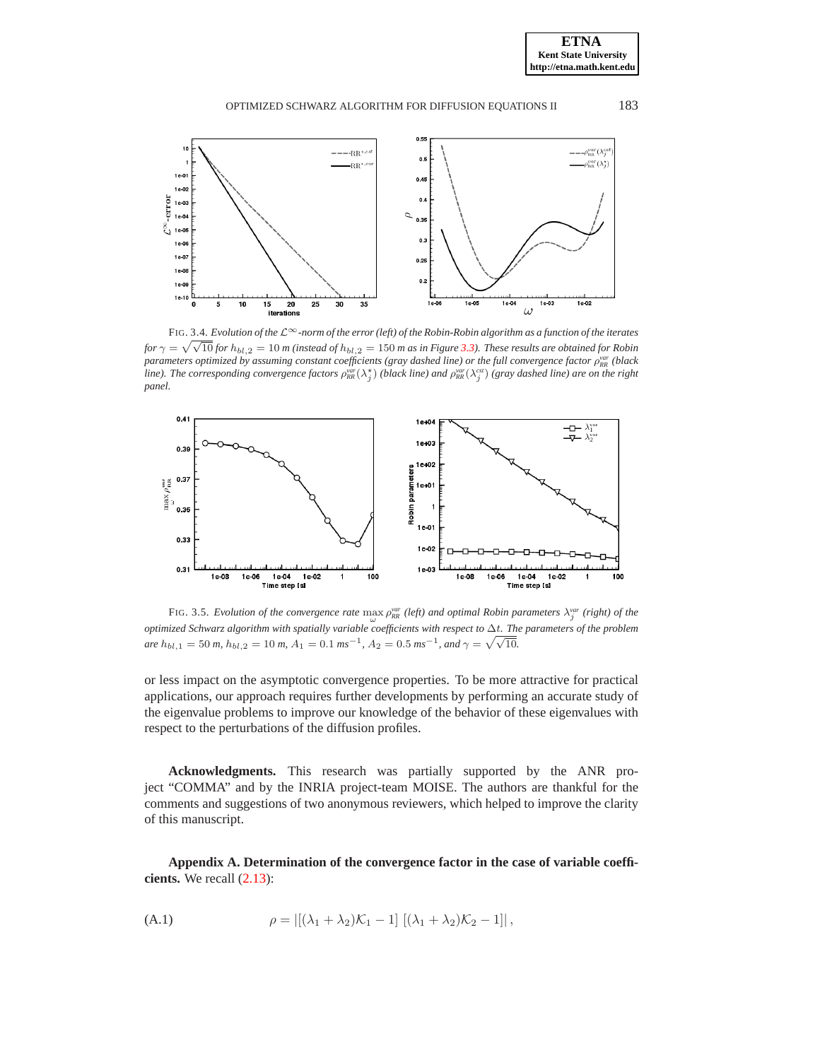

<span id="page-13-1"></span><sup>F</sup>IG. 3.4. *Evolution of the* <sup>L</sup>∞*-norm of the error (left) of the Robin-Robin algorithm as a function of the iterates for*  $\gamma = \sqrt{\sqrt{10}}$  *for*  $h_{bl,2} = 10$  *m* (instead of  $h_{bl,2} = 150$  *m* as in Figure [3.3\)](#page-12-0). These results are obtained for Robin *parameters optimized by assuming constant coefficients (gray dashed line) or the full convergence factor* ρ *var RR (black line*). The corresponding convergence factors  $\rho_{RR}^{var}(\lambda_j^{\star})$  (black line) and  $\rho_{RR}^{var}(\lambda_j^{est})$  (gray dashed line) are on the right *panel.*



<span id="page-13-2"></span>FIG. 3.5. *Evolution of the convergence rate*  $\max_{\omega} \rho_{RR}^{var}$  (left) and optimal Robin parameters  $\lambda_j^{var}$  (right) of the *optimized Schwarz algorithm with spatially variable coefficients with respect to* ∆t*. The parameters of the problem are*  $h_{bl,1} = 50$  *m,*  $h_{bl,2} = 10$  *m,*  $A_1 = 0.1$  *ms*<sup>−1</sup>,  $A_2 = 0.5$  *ms*<sup>−1</sup>, and  $\gamma = \sqrt{\sqrt{10}}$ .

or less impact on the asymptotic convergence properties. To be more attractive for practical applications, our approach requires further developments by performing an accurate study of the eigenvalue problems to improve our knowledge of the behavior of these eigenvalues with respect to the perturbations of the diffusion profiles.

**Acknowledgments.** This research was partially supported by the ANR project "COMMA" and by the INRIA project-team MOISE. The authors are thankful for the comments and suggestions of two anonymous reviewers, which helped to improve the clarity of this manuscript.

<span id="page-13-3"></span><span id="page-13-0"></span>**Appendix A. Determination of the convergence factor in the case of variable coefficients.** We recall [\(2.13\)](#page-8-3):

(A.1) 
$$
\rho = |[(\lambda_1 + \lambda_2)\mathcal{K}_1 - 1] [(\lambda_1 + \lambda_2)\mathcal{K}_2 - 1]|,
$$

**ETNA Kent State University http://etna.math.kent.edu**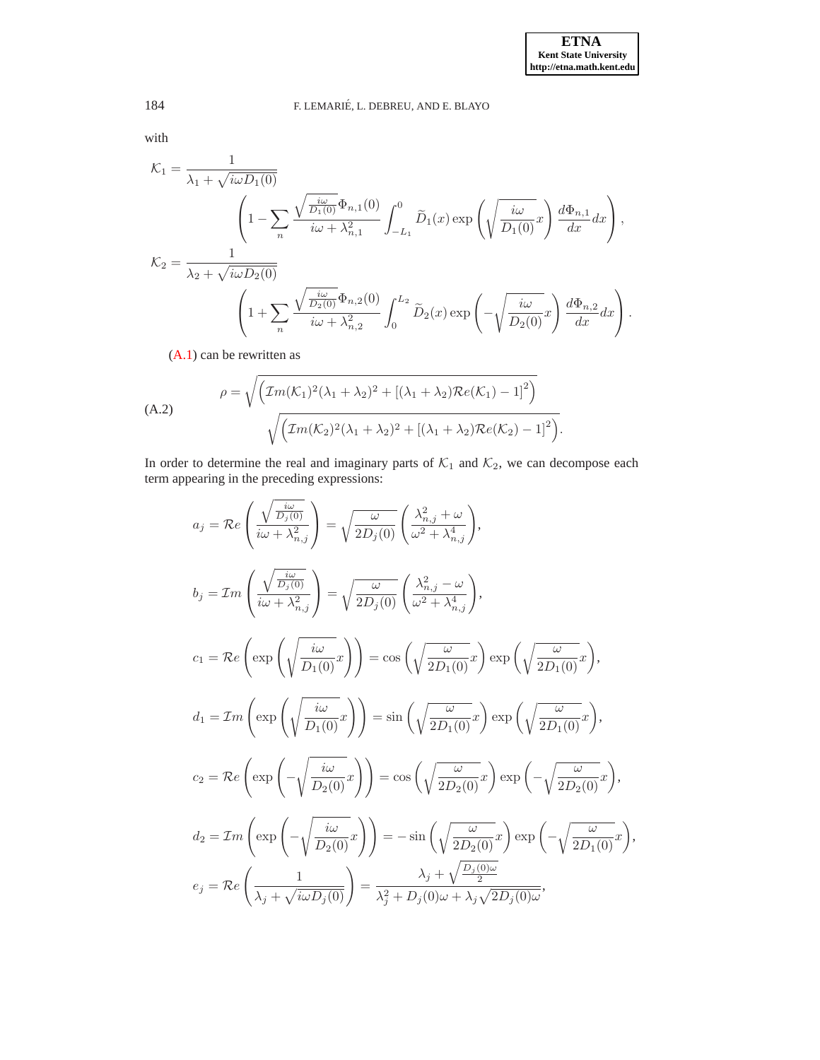with

$$
\mathcal{K}_1 = \frac{1}{\lambda_1 + \sqrt{i\omega D_1(0)}}\n\left(1 - \sum_n \frac{\sqrt{\frac{i\omega}{D_1(0)}} \Phi_{n,1}(0)}{i\omega + \lambda_{n,1}^2} \int_{-L_1}^0 \tilde{D}_1(x) \exp\left(\sqrt{\frac{i\omega}{D_1(0)}} x\right) \frac{d\Phi_{n,1}}{dx} dx\right),\n\mathcal{K}_2 = \frac{1}{\lambda_2 + \sqrt{i\omega D_2(0)}}\n\left(1 + \sum_n \frac{\sqrt{\frac{i\omega}{D_2(0)}} \Phi_{n,2}(0)}{i\omega + \lambda_{n,2}^2} \int_0^{L_2} \tilde{D}_2(x) \exp\left(-\sqrt{\frac{i\omega}{D_2(0)}} x\right) \frac{d\Phi_{n,2}}{dx} dx\right).
$$

<span id="page-14-0"></span>[\(A.1\)](#page-13-3) can be rewritten as

(A.2)  

$$
\rho = \sqrt{\left(\mathcal{I}m(\mathcal{K}_1)^2(\lambda_1 + \lambda_2)^2 + [(\lambda_1 + \lambda_2)\mathcal{R}e(\mathcal{K}_1) - 1]^2\right)}\sqrt{\left(\mathcal{I}m(\mathcal{K}_2)^2(\lambda_1 + \lambda_2)^2 + [(\lambda_1 + \lambda_2)\mathcal{R}e(\mathcal{K}_2) - 1]^2\right)}.
$$

In order to determine the real and imaginary parts of  $\mathcal{K}_1$  and  $\mathcal{K}_2$ , we can decompose each term appearing in the preceding expressions:

$$
a_{j} = \mathcal{R}e\left(\frac{\sqrt{\frac{i\omega}{D_{j}(0)}}}{i\omega + \lambda_{n,j}^{2}}\right) = \sqrt{\frac{\omega}{2D_{j}(0)}}\left(\frac{\lambda_{n,j}^{2} + \omega}{\omega^{2} + \lambda_{n,j}^{4}}\right),
$$
  
\n
$$
b_{j} = \mathcal{I}m\left(\frac{\sqrt{\frac{i\omega}{D_{j}(0)}}}{i\omega + \lambda_{n,j}^{2}}\right) = \sqrt{\frac{\omega}{2D_{j}(0)}}\left(\frac{\lambda_{n,j}^{2} - \omega}{\omega^{2} + \lambda_{n,j}^{4}}\right),
$$
  
\n
$$
c_{1} = \mathcal{R}e\left(\exp\left(\sqrt{\frac{i\omega}{D_{1}(0)}}x\right)\right) = \cos\left(\sqrt{\frac{\omega}{2D_{1}(0)}}x\right)\exp\left(\sqrt{\frac{\omega}{2D_{1}(0)}}x\right),
$$
  
\n
$$
d_{1} = \mathcal{I}m\left(\exp\left(\sqrt{\frac{i\omega}{D_{1}(0)}}x\right)\right) = \sin\left(\sqrt{\frac{\omega}{2D_{1}(0)}}x\right)\exp\left(\sqrt{\frac{\omega}{2D_{1}(0)}}x\right),
$$
  
\n
$$
c_{2} = \mathcal{R}e\left(\exp\left(-\sqrt{\frac{i\omega}{D_{2}(0)}}x\right)\right) = \cos\left(\sqrt{\frac{\omega}{2D_{2}(0)}}x\right)\exp\left(-\sqrt{\frac{\omega}{2D_{2}(0)}}x\right),
$$
  
\n
$$
d_{2} = \mathcal{I}m\left(\exp\left(-\sqrt{\frac{i\omega}{D_{2}(0)}}x\right)\right) = -\sin\left(\sqrt{\frac{\omega}{2D_{2}(0)}}x\right)\exp\left(-\sqrt{\frac{\omega}{2D_{1}(0)}}x\right),
$$
  
\n
$$
e_{j} = \mathcal{R}e\left(\frac{1}{\lambda_{j} + \sqrt{i\omega D_{j}(0)}}\right) = \frac{\lambda_{j} + \sqrt{\frac{D_{j}(0)\omega}{2}}}{\lambda_{j}^{2} + D_{j}(0)\omega + \lambda_{j} \sqrt{2D_{j}(0)\omega}},
$$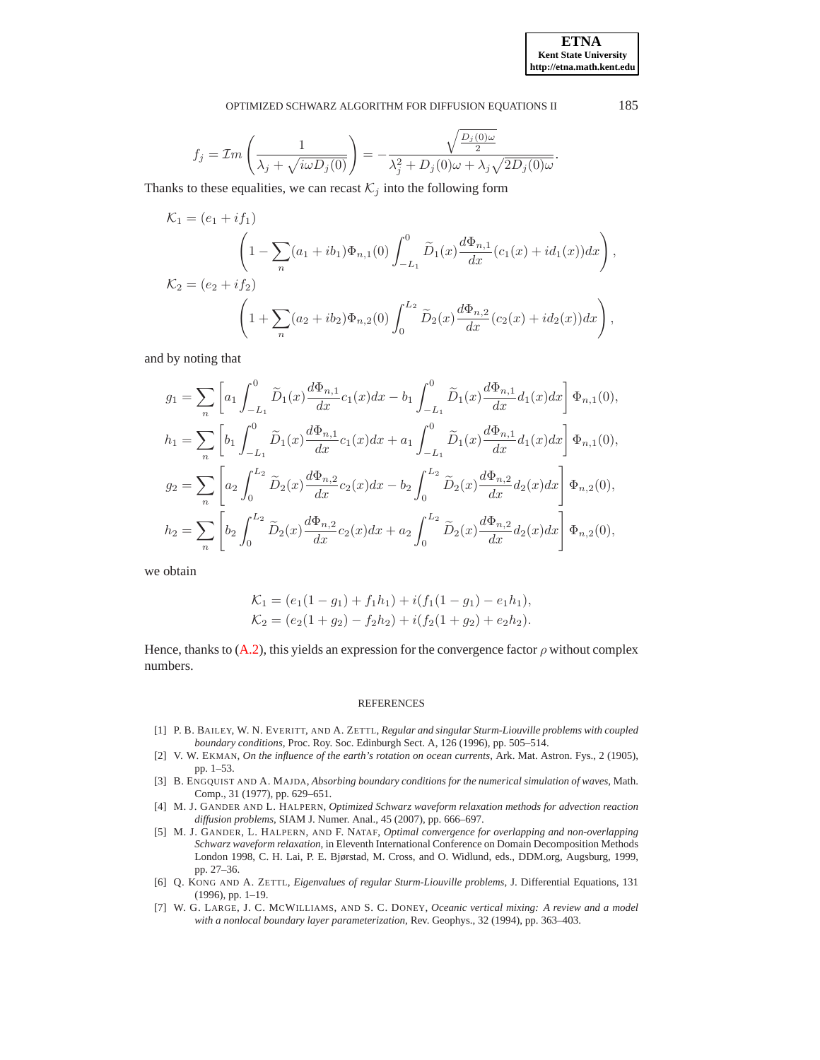$$
f_j = \mathcal{I}m\left(\frac{1}{\lambda_j + \sqrt{i\omega D_j(0)}}\right) = -\frac{\sqrt{\frac{D_j(0)\omega}{2}}}{\lambda_j^2 + D_j(0)\omega + \lambda_j\sqrt{2D_j(0)\omega}}.
$$

Thanks to these equalities, we can recast  $\mathcal{K}_j$  into the following form

$$
\mathcal{K}_1 = (e_1 + if_1) \n\left(1 - \sum_n (a_1 + ib_1)\Phi_{n,1}(0) \int_{-L_1}^0 \widetilde{D}_1(x) \frac{d\Phi_{n,1}}{dx} (c_1(x) + id_1(x)) dx\right),
$$
\n
$$
\mathcal{K}_2 = (e_2 + if_2) \n\left(1 + \sum_n (a_2 + ib_2)\Phi_{n,2}(0) \int_0^{L_2} \widetilde{D}_2(x) \frac{d\Phi_{n,2}}{dx} (c_2(x) + id_2(x)) dx\right),
$$

and by noting that

$$
g_1 = \sum_{n} \left[ a_1 \int_{-L_1}^{0} \tilde{D}_1(x) \frac{d\Phi_{n,1}}{dx} c_1(x) dx - b_1 \int_{-L_1}^{0} \tilde{D}_1(x) \frac{d\Phi_{n,1}}{dx} d_1(x) dx \right] \Phi_{n,1}(0),
$$
  
\n
$$
h_1 = \sum_{n} \left[ b_1 \int_{-L_1}^{0} \tilde{D}_1(x) \frac{d\Phi_{n,1}}{dx} c_1(x) dx + a_1 \int_{-L_1}^{0} \tilde{D}_1(x) \frac{d\Phi_{n,1}}{dx} d_1(x) dx \right] \Phi_{n,1}(0),
$$
  
\n
$$
g_2 = \sum_{n} \left[ a_2 \int_{0}^{L_2} \tilde{D}_2(x) \frac{d\Phi_{n,2}}{dx} c_2(x) dx - b_2 \int_{0}^{L_2} \tilde{D}_2(x) \frac{d\Phi_{n,2}}{dx} d_2(x) dx \right] \Phi_{n,2}(0),
$$
  
\n
$$
h_2 = \sum_{n} \left[ b_2 \int_{0}^{L_2} \tilde{D}_2(x) \frac{d\Phi_{n,2}}{dx} c_2(x) dx + a_2 \int_{0}^{L_2} \tilde{D}_2(x) \frac{d\Phi_{n,2}}{dx} d_2(x) dx \right] \Phi_{n,2}(0),
$$

we obtain

$$
\mathcal{K}_1 = (e_1(1-g_1) + f_1h_1) + i(f_1(1-g_1) - e_1h_1),
$$
  
\n
$$
\mathcal{K}_2 = (e_2(1+g_2) - f_2h_2) + i(f_2(1+g_2) + e_2h_2).
$$

Hence, thanks to [\(A.2\)](#page-14-0), this yields an expression for the convergence factor  $\rho$  without complex numbers.

#### REFERENCES

- <span id="page-15-5"></span>[1] P. B. BAILEY, W. N. EVERITT, AND A. ZETTL, *Regular and singular Sturm-Liouville problems with coupled boundary conditions*, Proc. Roy. Soc. Edinburgh Sect. A, 126 (1996), pp. 505–514.
- <span id="page-15-4"></span>[2] V. W. EKMAN, *On the influence of the earth's rotation on ocean currents*, Ark. Mat. Astron. Fys., 2 (1905), pp. 1–53.
- <span id="page-15-2"></span>[3] B. ENGQUIST AND A. MAJDA, *Absorbing boundary conditions for the numerical simulation of waves*, Math. Comp., 31 (1977), pp. 629–651.
- <span id="page-15-0"></span>[4] M. J. GANDER AND L. HALPERN, *Optimized Schwarz waveform relaxation methods for advection reaction diffusion problems*, SIAM J. Numer. Anal., 45 (2007), pp. 666–697.
- <span id="page-15-1"></span>[5] M. J. GANDER, L. HALPERN, AND F. NATAF, *Optimal convergence for overlapping and non-overlapping Schwarz waveform relaxation*, in Eleventh International Conference on Domain Decomposition Methods London 1998, C. H. Lai, P. E. Bjørstad, M. Cross, and O. Widlund, eds., DDM.org, Augsburg, 1999, pp. 27–36.
- <span id="page-15-6"></span>[6] Q. KONG AND A. ZETTL, *Eigenvalues of regular Sturm-Liouville problems*, J. Differential Equations, 131 (1996), pp. 1–19.
- <span id="page-15-3"></span>[7] W. G. LARGE, J. C. MCWILLIAMS, AND S. C. DONEY, *Oceanic vertical mixing: A review and a model with a nonlocal boundary layer parameterization*, Rev. Geophys., 32 (1994), pp. 363–403.